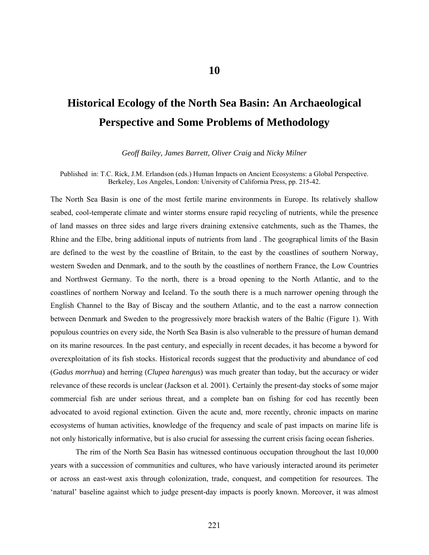# **Historical Ecology of the North Sea Basin: An Archaeological Perspective and Some Problems of Methodology**

*Geoff Bailey, James Barrett, Oliver Craig* and *Nicky Milner* 

Published in: T.C. Rick, J.M. Erlandson (eds.) Human Impacts on Ancient Ecosystems: a Global Perspective. Berkeley, Los Angeles, London: University of California Press, pp. 215-42.

The North Sea Basin is one of the most fertile marine environments in Europe. Its relatively shallow seabed, cool-temperate climate and winter storms ensure rapid recycling of nutrients, while the presence of land masses on three sides and large rivers draining extensive catchments, such as the Thames, the Rhine and the Elbe, bring additional inputs of nutrients from land . The geographical limits of the Basin are defined to the west by the coastline of Britain, to the east by the coastlines of southern Norway, western Sweden and Denmark, and to the south by the coastlines of northern France, the Low Countries and Northwest Germany. To the north, there is a broad opening to the North Atlantic, and to the coastlines of northern Norway and Iceland. To the south there is a much narrower opening through the English Channel to the Bay of Biscay and the southern Atlantic, and to the east a narrow connection between Denmark and Sweden to the progressively more brackish waters of the Baltic (Figure 1). With populous countries on every side, the North Sea Basin is also vulnerable to the pressure of human demand on its marine resources. In the past century, and especially in recent decades, it has become a byword for overexploitation of its fish stocks. Historical records suggest that the productivity and abundance of cod (*Gadus morrhua*) and herring (*Clupea harengus*) was much greater than today, but the accuracy or wider relevance of these records is unclear (Jackson et al. 2001). Certainly the present-day stocks of some major commercial fish are under serious threat, and a complete ban on fishing for cod has recently been advocated to avoid regional extinction. Given the acute and, more recently, chronic impacts on marine ecosystems of human activities, knowledge of the frequency and scale of past impacts on marine life is not only historically informative, but is also crucial for assessing the current crisis facing ocean fisheries.

The rim of the North Sea Basin has witnessed continuous occupation throughout the last 10,000 years with a succession of communities and cultures, who have variously interacted around its perimeter or across an east-west axis through colonization, trade, conquest, and competition for resources. The 'natural' baseline against which to judge present-day impacts is poorly known. Moreover, it was almost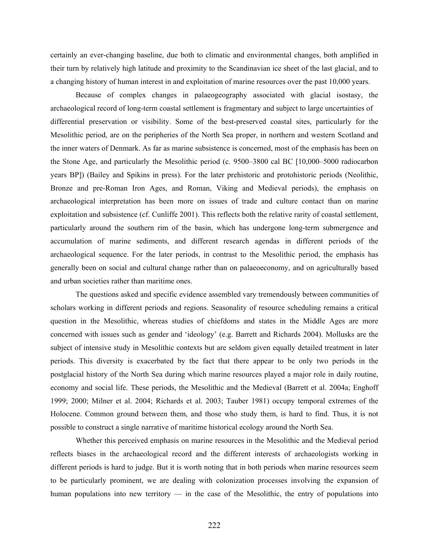certainly an ever-changing baseline, due both to climatic and environmental changes, both amplified in their turn by relatively high latitude and proximity to the Scandinavian ice sheet of the last glacial, and to a changing history of human interest in and exploitation of marine resources over the past 10,000 years.

Because of complex changes in palaeogeography associated with glacial isostasy, the archaeological record of long-term coastal settlement is fragmentary and subject to large uncertainties of differential preservation or visibility. Some of the best-preserved coastal sites, particularly for the Mesolithic period, are on the peripheries of the North Sea proper, in northern and western Scotland and the inner waters of Denmark. As far as marine subsistence is concerned, most of the emphasis has been on the Stone Age, and particularly the Mesolithic period (c. 9500–3800 cal BC [10,000–5000 radiocarbon years BP]) (Bailey and Spikins in press). For the later prehistoric and protohistoric periods (Neolithic, Bronze and pre-Roman Iron Ages, and Roman, Viking and Medieval periods), the emphasis on archaeological interpretation has been more on issues of trade and culture contact than on marine exploitation and subsistence (cf. Cunliffe 2001). This reflects both the relative rarity of coastal settlement, particularly around the southern rim of the basin, which has undergone long-term submergence and accumulation of marine sediments, and different research agendas in different periods of the archaeological sequence. For the later periods, in contrast to the Mesolithic period, the emphasis has generally been on social and cultural change rather than on palaeoeconomy, and on agriculturally based and urban societies rather than maritime ones.

The questions asked and specific evidence assembled vary tremendously between communities of scholars working in different periods and regions. Seasonality of resource scheduling remains a critical question in the Mesolithic, whereas studies of chiefdoms and states in the Middle Ages are more concerned with issues such as gender and 'ideology' (e.g. Barrett and Richards 2004). Mollusks are the subject of intensive study in Mesolithic contexts but are seldom given equally detailed treatment in later periods. This diversity is exacerbated by the fact that there appear to be only two periods in the postglacial history of the North Sea during which marine resources played a major role in daily routine, economy and social life. These periods, the Mesolithic and the Medieval (Barrett et al. 2004a; Enghoff 1999; 2000; Milner et al. 2004; Richards et al. 2003; Tauber 1981) occupy temporal extremes of the Holocene. Common ground between them, and those who study them, is hard to find. Thus, it is not possible to construct a single narrative of maritime historical ecology around the North Sea.

Whether this perceived emphasis on marine resources in the Mesolithic and the Medieval period reflects biases in the archaeological record and the different interests of archaeologists working in different periods is hard to judge. But it is worth noting that in both periods when marine resources seem to be particularly prominent, we are dealing with colonization processes involving the expansion of human populations into new territory — in the case of the Mesolithic, the entry of populations into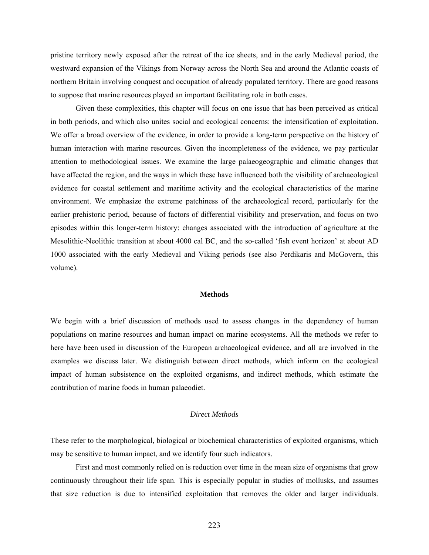pristine territory newly exposed after the retreat of the ice sheets, and in the early Medieval period, the westward expansion of the Vikings from Norway across the North Sea and around the Atlantic coasts of northern Britain involving conquest and occupation of already populated territory. There are good reasons to suppose that marine resources played an important facilitating role in both cases.

Given these complexities, this chapter will focus on one issue that has been perceived as critical in both periods, and which also unites social and ecological concerns: the intensification of exploitation. We offer a broad overview of the evidence, in order to provide a long-term perspective on the history of human interaction with marine resources. Given the incompleteness of the evidence, we pay particular attention to methodological issues. We examine the large palaeogeographic and climatic changes that have affected the region, and the ways in which these have influenced both the visibility of archaeological evidence for coastal settlement and maritime activity and the ecological characteristics of the marine environment. We emphasize the extreme patchiness of the archaeological record, particularly for the earlier prehistoric period, because of factors of differential visibility and preservation, and focus on two episodes within this longer-term history: changes associated with the introduction of agriculture at the Mesolithic-Neolithic transition at about 4000 cal BC, and the so-called 'fish event horizon' at about AD 1000 associated with the early Medieval and Viking periods (see also Perdikaris and McGovern, this volume).

## **Methods**

We begin with a brief discussion of methods used to assess changes in the dependency of human populations on marine resources and human impact on marine ecosystems. All the methods we refer to here have been used in discussion of the European archaeological evidence, and all are involved in the examples we discuss later. We distinguish between direct methods, which inform on the ecological impact of human subsistence on the exploited organisms, and indirect methods, which estimate the contribution of marine foods in human palaeodiet.

#### *Direct Methods*

These refer to the morphological, biological or biochemical characteristics of exploited organisms, which may be sensitive to human impact, and we identify four such indicators.

 First and most commonly relied on is reduction over time in the mean size of organisms that grow continuously throughout their life span. This is especially popular in studies of mollusks, and assumes that size reduction is due to intensified exploitation that removes the older and larger individuals.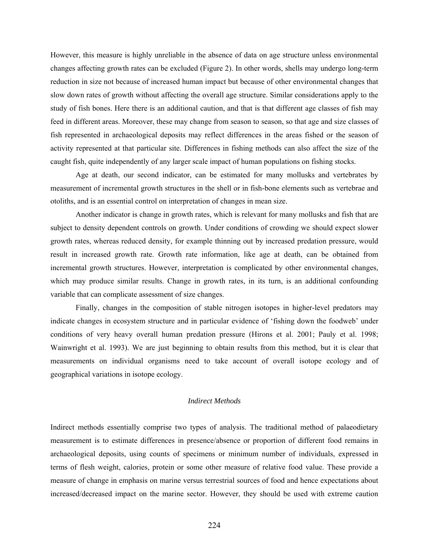However, this measure is highly unreliable in the absence of data on age structure unless environmental changes affecting growth rates can be excluded (Figure 2). In other words, shells may undergo long-term reduction in size not because of increased human impact but because of other environmental changes that slow down rates of growth without affecting the overall age structure. Similar considerations apply to the study of fish bones. Here there is an additional caution, and that is that different age classes of fish may feed in different areas. Moreover, these may change from season to season, so that age and size classes of fish represented in archaeological deposits may reflect differences in the areas fished or the season of activity represented at that particular site. Differences in fishing methods can also affect the size of the caught fish, quite independently of any larger scale impact of human populations on fishing stocks.

Age at death, our second indicator, can be estimated for many mollusks and vertebrates by measurement of incremental growth structures in the shell or in fish-bone elements such as vertebrae and otoliths, and is an essential control on interpretation of changes in mean size.

Another indicator is change in growth rates, which is relevant for many mollusks and fish that are subject to density dependent controls on growth. Under conditions of crowding we should expect slower growth rates, whereas reduced density, for example thinning out by increased predation pressure, would result in increased growth rate. Growth rate information, like age at death, can be obtained from incremental growth structures. However, interpretation is complicated by other environmental changes, which may produce similar results. Change in growth rates, in its turn, is an additional confounding variable that can complicate assessment of size changes.

Finally, changes in the composition of stable nitrogen isotopes in higher-level predators may indicate changes in ecosystem structure and in particular evidence of 'fishing down the foodweb' under conditions of very heavy overall human predation pressure (Hirons et al. 2001; Pauly et al. 1998; Wainwright et al. 1993). We are just beginning to obtain results from this method, but it is clear that measurements on individual organisms need to take account of overall isotope ecology and of geographical variations in isotope ecology.

# *Indirect Methods*

Indirect methods essentially comprise two types of analysis. The traditional method of palaeodietary measurement is to estimate differences in presence/absence or proportion of different food remains in archaeological deposits, using counts of specimens or minimum number of individuals, expressed in terms of flesh weight, calories, protein or some other measure of relative food value. These provide a measure of change in emphasis on marine versus terrestrial sources of food and hence expectations about increased/decreased impact on the marine sector. However, they should be used with extreme caution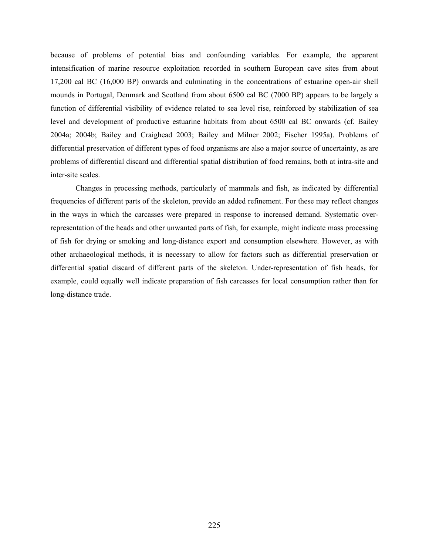because of problems of potential bias and confounding variables. For example, the apparent intensification of marine resource exploitation recorded in southern European cave sites from about 17,200 cal BC (16,000 BP) onwards and culminating in the concentrations of estuarine open-air shell mounds in Portugal, Denmark and Scotland from about 6500 cal BC (7000 BP) appears to be largely a function of differential visibility of evidence related to sea level rise, reinforced by stabilization of sea level and development of productive estuarine habitats from about 6500 cal BC onwards (cf. Bailey 2004a; 2004b; Bailey and Craighead 2003; Bailey and Milner 2002; Fischer 1995a). Problems of differential preservation of different types of food organisms are also a major source of uncertainty, as are problems of differential discard and differential spatial distribution of food remains, both at intra-site and inter-site scales.

Changes in processing methods, particularly of mammals and fish, as indicated by differential frequencies of different parts of the skeleton, provide an added refinement. For these may reflect changes in the ways in which the carcasses were prepared in response to increased demand. Systematic overrepresentation of the heads and other unwanted parts of fish, for example, might indicate mass processing of fish for drying or smoking and long-distance export and consumption elsewhere. However, as with other archaeological methods, it is necessary to allow for factors such as differential preservation or differential spatial discard of different parts of the skeleton. Under-representation of fish heads, for example, could equally well indicate preparation of fish carcasses for local consumption rather than for long-distance trade.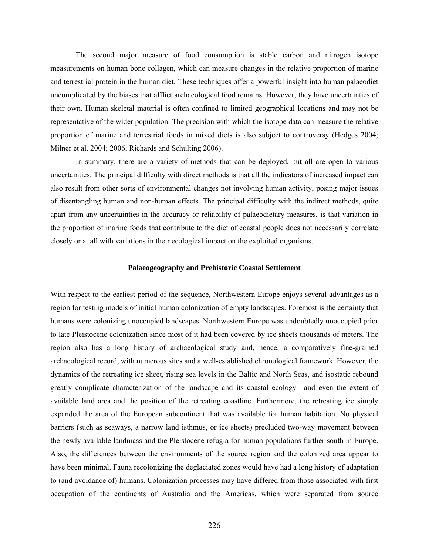The second major measure of food consumption is stable carbon and nitrogen isotope measurements on human bone collagen, which can measure changes in the relative proportion of marine and terrestrial protein in the human diet. These techniques offer a powerful insight into human palaeodiet uncomplicated by the biases that afflict archaeological food remains. However, they have uncertainties of their own. Human skeletal material is often confined to limited geographical locations and may not be representative of the wider population. The precision with which the isotope data can measure the relative proportion of marine and terrestrial foods in mixed diets is also subject to controversy (Hedges 2004; Milner et al. 2004; 2006; Richards and Schulting 2006).

In summary, there are a variety of methods that can be deployed, but all are open to various uncertainties. The principal difficulty with direct methods is that all the indicators of increased impact can also result from other sorts of environmental changes not involving human activity, posing major issues of disentangling human and non-human effects. The principal difficulty with the indirect methods, quite apart from any uncertainties in the accuracy or reliability of palaeodietary measures, is that variation in the proportion of marine foods that contribute to the diet of coastal people does not necessarily correlate closely or at all with variations in their ecological impact on the exploited organisms.

#### **Palaeogeography and Prehistoric Coastal Settlement**

With respect to the earliest period of the sequence, Northwestern Europe enjoys several advantages as a region for testing models of initial human colonization of empty landscapes. Foremost is the certainty that humans were colonizing unoccupied landscapes. Northwestern Europe was undoubtedly unoccupied prior to late Pleistocene colonization since most of it had been covered by ice sheets thousands of meters. The region also has a long history of archaeological study and, hence, a comparatively fine-grained archaeological record, with numerous sites and a well-established chronological framework. However, the dynamics of the retreating ice sheet, rising sea levels in the Baltic and North Seas, and isostatic rebound greatly complicate characterization of the landscape and its coastal ecology—and even the extent of available land area and the position of the retreating coastline. Furthermore, the retreating ice simply expanded the area of the European subcontinent that was available for human habitation. No physical barriers (such as seaways, a narrow land isthmus, or ice sheets) precluded two-way movement between the newly available landmass and the Pleistocene refugia for human populations further south in Europe. Also, the differences between the environments of the source region and the colonized area appear to have been minimal. Fauna recolonizing the deglaciated zones would have had a long history of adaptation to (and avoidance of) humans. Colonization processes may have differed from those associated with first occupation of the continents of Australia and the Americas, which were separated from source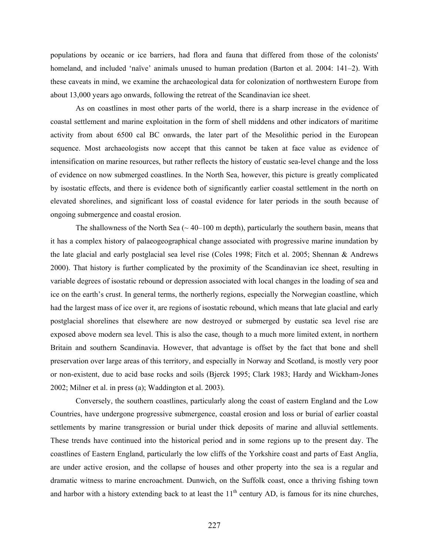populations by oceanic or ice barriers, had flora and fauna that differed from those of the colonists' homeland, and included 'naïve' animals unused to human predation (Barton et al. 2004: 141–2). With these caveats in mind, we examine the archaeological data for colonization of northwestern Europe from about 13,000 years ago onwards, following the retreat of the Scandinavian ice sheet.

As on coastlines in most other parts of the world, there is a sharp increase in the evidence of coastal settlement and marine exploitation in the form of shell middens and other indicators of maritime activity from about 6500 cal BC onwards, the later part of the Mesolithic period in the European sequence. Most archaeologists now accept that this cannot be taken at face value as evidence of intensification on marine resources, but rather reflects the history of eustatic sea-level change and the loss of evidence on now submerged coastlines. In the North Sea, however, this picture is greatly complicated by isostatic effects, and there is evidence both of significantly earlier coastal settlement in the north on elevated shorelines, and significant loss of coastal evidence for later periods in the south because of ongoing submergence and coastal erosion.

The shallowness of the North Sea ( $\sim$  40–100 m depth), particularly the southern basin, means that it has a complex history of palaeogeographical change associated with progressive marine inundation by the late glacial and early postglacial sea level rise (Coles 1998; Fitch et al. 2005; Shennan & Andrews 2000). That history is further complicated by the proximity of the Scandinavian ice sheet, resulting in variable degrees of isostatic rebound or depression associated with local changes in the loading of sea and ice on the earth's crust. In general terms, the northerly regions, especially the Norwegian coastline, which had the largest mass of ice over it, are regions of isostatic rebound, which means that late glacial and early postglacial shorelines that elsewhere are now destroyed or submerged by eustatic sea level rise are exposed above modern sea level. This is also the case, though to a much more limited extent, in northern Britain and southern Scandinavia. However, that advantage is offset by the fact that bone and shell preservation over large areas of this territory, and especially in Norway and Scotland, is mostly very poor or non-existent, due to acid base rocks and soils (Bjerck 1995; Clark 1983; Hardy and Wickham-Jones 2002; Milner et al. in press (a); Waddington et al. 2003).

Conversely, the southern coastlines, particularly along the coast of eastern England and the Low Countries, have undergone progressive submergence, coastal erosion and loss or burial of earlier coastal settlements by marine transgression or burial under thick deposits of marine and alluvial settlements. These trends have continued into the historical period and in some regions up to the present day. The coastlines of Eastern England, particularly the low cliffs of the Yorkshire coast and parts of East Anglia, are under active erosion, and the collapse of houses and other property into the sea is a regular and dramatic witness to marine encroachment. Dunwich, on the Suffolk coast, once a thriving fishing town and harbor with a history extending back to at least the  $11<sup>th</sup>$  century AD, is famous for its nine churches,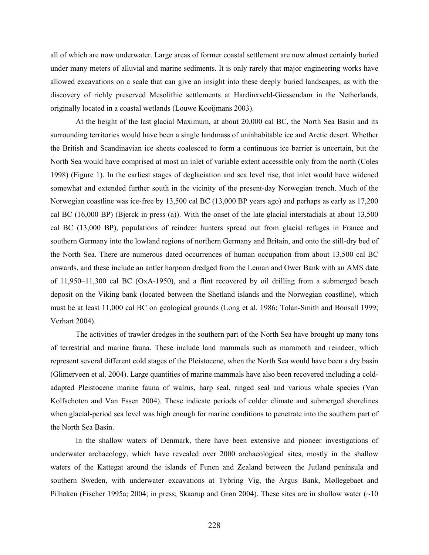all of which are now underwater. Large areas of former coastal settlement are now almost certainly buried under many meters of alluvial and marine sediments. It is only rarely that major engineering works have allowed excavations on a scale that can give an insight into these deeply buried landscapes, as with the discovery of richly preserved Mesolithic settlements at Hardinxveld-Giessendam in the Netherlands, originally located in a coastal wetlands (Louwe Kooijmans 2003).

At the height of the last glacial Maximum, at about 20,000 cal BC, the North Sea Basin and its surrounding territories would have been a single landmass of uninhabitable ice and Arctic desert. Whether the British and Scandinavian ice sheets coalesced to form a continuous ice barrier is uncertain, but the North Sea would have comprised at most an inlet of variable extent accessible only from the north (Coles 1998) (Figure 1). In the earliest stages of deglaciation and sea level rise, that inlet would have widened somewhat and extended further south in the vicinity of the present-day Norwegian trench. Much of the Norwegian coastline was ice-free by 13,500 cal BC (13,000 BP years ago) and perhaps as early as 17,200 cal BC (16,000 BP) (Bjerck in press (a)). With the onset of the late glacial interstadials at about 13,500 cal BC (13,000 BP), populations of reindeer hunters spread out from glacial refuges in France and southern Germany into the lowland regions of northern Germany and Britain, and onto the still-dry bed of the North Sea. There are numerous dated occurrences of human occupation from about 13,500 cal BC onwards, and these include an antler harpoon dredged from the Leman and Ower Bank with an AMS date of 11,950–11,300 cal BC (OxA-1950), and a flint recovered by oil drilling from a submerged beach deposit on the Viking bank (located between the Shetland islands and the Norwegian coastline), which must be at least 11,000 cal BC on geological grounds (Long et al. 1986; Tolan-Smith and Bonsall 1999; Verhart 2004).

 The activities of trawler dredges in the southern part of the North Sea have brought up many tons of terrestrial and marine fauna. These include land mammals such as mammoth and reindeer, which represent several different cold stages of the Pleistocene, when the North Sea would have been a dry basin (Glimerveen et al. 2004). Large quantities of marine mammals have also been recovered including a coldadapted Pleistocene marine fauna of walrus, harp seal, ringed seal and various whale species (Van Kolfschoten and Van Essen 2004). These indicate periods of colder climate and submerged shorelines when glacial-period sea level was high enough for marine conditions to penetrate into the southern part of the North Sea Basin.

 In the shallow waters of Denmark, there have been extensive and pioneer investigations of underwater archaeology, which have revealed over 2000 archaeological sites, mostly in the shallow waters of the Kattegat around the islands of Funen and Zealand between the Jutland peninsula and southern Sweden, with underwater excavations at Tybring Vig, the Argus Bank, Møllegebaet and Pilhaken (Fischer 1995a; 2004; in press; Skaarup and Grøn 2004). These sites are in shallow water (~10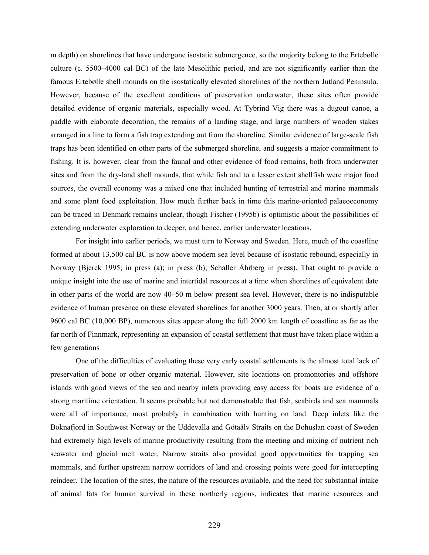m depth) on shorelines that have undergone isostatic submergence, so the majority belong to the Ertebølle culture (c. 5500–4000 cal BC) of the late Mesolithic period, and are not significantly earlier than the famous Ertebølle shell mounds on the isostatically elevated shorelines of the northern Jutland Peninsula. However, because of the excellent conditions of preservation underwater, these sites often provide detailed evidence of organic materials, especially wood. At Tybrind Vig there was a dugout canoe, a paddle with elaborate decoration, the remains of a landing stage, and large numbers of wooden stakes arranged in a line to form a fish trap extending out from the shoreline. Similar evidence of large-scale fish traps has been identified on other parts of the submerged shoreline, and suggests a major commitment to fishing. It is, however, clear from the faunal and other evidence of food remains, both from underwater sites and from the dry-land shell mounds, that while fish and to a lesser extent shellfish were major food sources, the overall economy was a mixed one that included hunting of terrestrial and marine mammals and some plant food exploitation. How much further back in time this marine-oriented palaeoeconomy can be traced in Denmark remains unclear, though Fischer (1995b) is optimistic about the possibilities of extending underwater exploration to deeper, and hence, earlier underwater locations.

 For insight into earlier periods, we must turn to Norway and Sweden. Here, much of the coastline formed at about 13,500 cal BC is now above modern sea level because of isostatic rebound, especially in Norway (Bjerck 1995; in press (a); in press (b); Schaller Åhrberg in press). That ought to provide a unique insight into the use of marine and intertidal resources at a time when shorelines of equivalent date in other parts of the world are now 40–50 m below present sea level. However, there is no indisputable evidence of human presence on these elevated shorelines for another 3000 years. Then, at or shortly after 9600 cal BC (10,000 BP), numerous sites appear along the full 2000 km length of coastline as far as the far north of Finnmark, representing an expansion of coastal settlement that must have taken place within a few generations

One of the difficulties of evaluating these very early coastal settlements is the almost total lack of preservation of bone or other organic material. However, site locations on promontories and offshore islands with good views of the sea and nearby inlets providing easy access for boats are evidence of a strong maritime orientation. It seems probable but not demonstrable that fish, seabirds and sea mammals were all of importance, most probably in combination with hunting on land. Deep inlets like the Boknafjord in Southwest Norway or the Uddevalla and Götaälv Straits on the Bohuslan coast of Sweden had extremely high levels of marine productivity resulting from the meeting and mixing of nutrient rich seawater and glacial melt water. Narrow straits also provided good opportunities for trapping sea mammals, and further upstream narrow corridors of land and crossing points were good for intercepting reindeer. The location of the sites, the nature of the resources available, and the need for substantial intake of animal fats for human survival in these northerly regions, indicates that marine resources and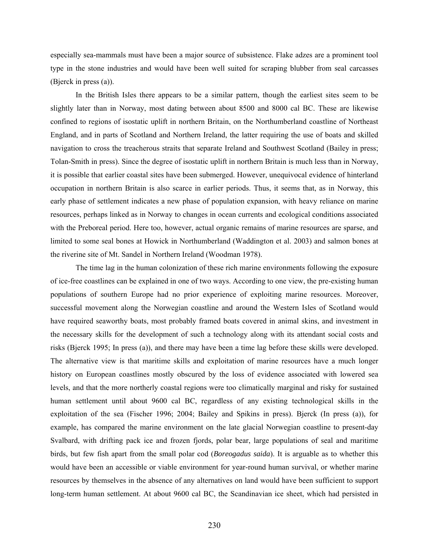especially sea-mammals must have been a major source of subsistence. Flake adzes are a prominent tool type in the stone industries and would have been well suited for scraping blubber from seal carcasses (Bjerck in press (a)).

In the British Isles there appears to be a similar pattern, though the earliest sites seem to be slightly later than in Norway, most dating between about 8500 and 8000 cal BC. These are likewise confined to regions of isostatic uplift in northern Britain, on the Northumberland coastline of Northeast England, and in parts of Scotland and Northern Ireland, the latter requiring the use of boats and skilled navigation to cross the treacherous straits that separate Ireland and Southwest Scotland (Bailey in press; Tolan-Smith in press). Since the degree of isostatic uplift in northern Britain is much less than in Norway, it is possible that earlier coastal sites have been submerged. However, unequivocal evidence of hinterland occupation in northern Britain is also scarce in earlier periods. Thus, it seems that, as in Norway, this early phase of settlement indicates a new phase of population expansion, with heavy reliance on marine resources, perhaps linked as in Norway to changes in ocean currents and ecological conditions associated with the Preboreal period. Here too, however, actual organic remains of marine resources are sparse, and limited to some seal bones at Howick in Northumberland (Waddington et al. 2003) and salmon bones at the riverine site of Mt. Sandel in Northern Ireland (Woodman 1978).

The time lag in the human colonization of these rich marine environments following the exposure of ice-free coastlines can be explained in one of two ways. According to one view, the pre-existing human populations of southern Europe had no prior experience of exploiting marine resources. Moreover, successful movement along the Norwegian coastline and around the Western Isles of Scotland would have required seaworthy boats, most probably framed boats covered in animal skins, and investment in the necessary skills for the development of such a technology along with its attendant social costs and risks (Bjerck 1995; In press (a)), and there may have been a time lag before these skills were developed. The alternative view is that maritime skills and exploitation of marine resources have a much longer history on European coastlines mostly obscured by the loss of evidence associated with lowered sea levels, and that the more northerly coastal regions were too climatically marginal and risky for sustained human settlement until about 9600 cal BC, regardless of any existing technological skills in the exploitation of the sea (Fischer 1996; 2004; Bailey and Spikins in press). Bjerck (In press (a)), for example, has compared the marine environment on the late glacial Norwegian coastline to present-day Svalbard, with drifting pack ice and frozen fjords, polar bear, large populations of seal and maritime birds, but few fish apart from the small polar cod (*Boreogadus saida*). It is arguable as to whether this would have been an accessible or viable environment for year-round human survival, or whether marine resources by themselves in the absence of any alternatives on land would have been sufficient to support long-term human settlement. At about 9600 cal BC, the Scandinavian ice sheet, which had persisted in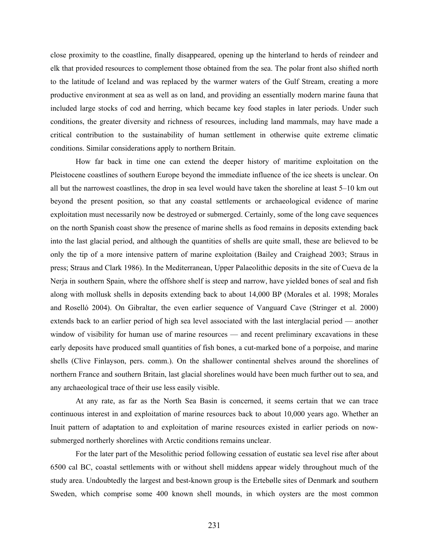close proximity to the coastline, finally disappeared, opening up the hinterland to herds of reindeer and elk that provided resources to complement those obtained from the sea. The polar front also shifted north to the latitude of Iceland and was replaced by the warmer waters of the Gulf Stream, creating a more productive environment at sea as well as on land, and providing an essentially modern marine fauna that included large stocks of cod and herring, which became key food staples in later periods. Under such conditions, the greater diversity and richness of resources, including land mammals, may have made a critical contribution to the sustainability of human settlement in otherwise quite extreme climatic conditions. Similar considerations apply to northern Britain.

How far back in time one can extend the deeper history of maritime exploitation on the Pleistocene coastlines of southern Europe beyond the immediate influence of the ice sheets is unclear. On all but the narrowest coastlines, the drop in sea level would have taken the shoreline at least 5–10 km out beyond the present position, so that any coastal settlements or archaeological evidence of marine exploitation must necessarily now be destroyed or submerged. Certainly, some of the long cave sequences on the north Spanish coast show the presence of marine shells as food remains in deposits extending back into the last glacial period, and although the quantities of shells are quite small, these are believed to be only the tip of a more intensive pattern of marine exploitation (Bailey and Craighead 2003; Straus in press; Straus and Clark 1986). In the Mediterranean, Upper Palaeolithic deposits in the site of Cueva de la Nerja in southern Spain, where the offshore shelf is steep and narrow, have yielded bones of seal and fish along with mollusk shells in deposits extending back to about 14,000 BP (Morales et al. 1998; Morales and Roselló 2004). On Gibraltar, the even earlier sequence of Vanguard Cave (Stringer et al. 2000) extends back to an earlier period of high sea level associated with the last interglacial period — another window of visibility for human use of marine resources — and recent preliminary excavations in these early deposits have produced small quantities of fish bones, a cut-marked bone of a porpoise, and marine shells (Clive Finlayson, pers. comm.). On the shallower continental shelves around the shorelines of northern France and southern Britain, last glacial shorelines would have been much further out to sea, and any archaeological trace of their use less easily visible.

At any rate, as far as the North Sea Basin is concerned, it seems certain that we can trace continuous interest in and exploitation of marine resources back to about 10,000 years ago. Whether an Inuit pattern of adaptation to and exploitation of marine resources existed in earlier periods on nowsubmerged northerly shorelines with Arctic conditions remains unclear.

For the later part of the Mesolithic period following cessation of eustatic sea level rise after about 6500 cal BC, coastal settlements with or without shell middens appear widely throughout much of the study area. Undoubtedly the largest and best-known group is the Ertebølle sites of Denmark and southern Sweden, which comprise some 400 known shell mounds, in which oysters are the most common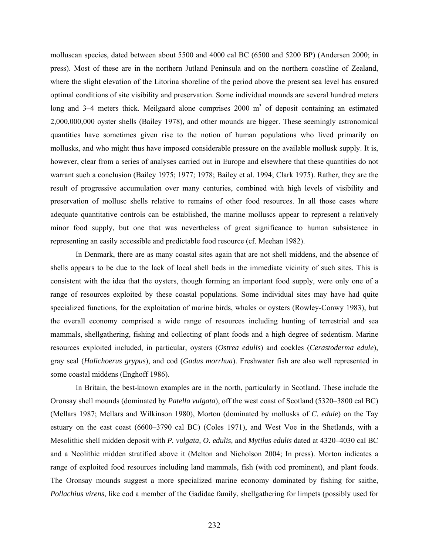molluscan species, dated between about 5500 and 4000 cal BC (6500 and 5200 BP) (Andersen 2000; in press). Most of these are in the northern Jutland Peninsula and on the northern coastline of Zealand, where the slight elevation of the Litorina shoreline of the period above the present sea level has ensured optimal conditions of site visibility and preservation. Some individual mounds are several hundred meters long and 3–4 meters thick. Meilgaard alone comprises  $2000 \text{ m}^3$  of deposit containing an estimated 2,000,000,000 oyster shells (Bailey 1978), and other mounds are bigger. These seemingly astronomical quantities have sometimes given rise to the notion of human populations who lived primarily on mollusks, and who might thus have imposed considerable pressure on the available mollusk supply. It is, however, clear from a series of analyses carried out in Europe and elsewhere that these quantities do not warrant such a conclusion (Bailey 1975; 1977; 1978; Bailey et al. 1994; Clark 1975). Rather, they are the result of progressive accumulation over many centuries, combined with high levels of visibility and preservation of mollusc shells relative to remains of other food resources. In all those cases where adequate quantitative controls can be established, the marine molluscs appear to represent a relatively minor food supply, but one that was nevertheless of great significance to human subsistence in representing an easily accessible and predictable food resource (cf. Meehan 1982).

In Denmark, there are as many coastal sites again that are not shell middens, and the absence of shells appears to be due to the lack of local shell beds in the immediate vicinity of such sites. This is consistent with the idea that the oysters, though forming an important food supply, were only one of a range of resources exploited by these coastal populations. Some individual sites may have had quite specialized functions, for the exploitation of marine birds, whales or oysters (Rowley-Conwy 1983), but the overall economy comprised a wide range of resources including hunting of terrestrial and sea mammals, shellgathering, fishing and collecting of plant foods and a high degree of sedentism. Marine resources exploited included, in particular, oysters (*Ostrea edulis*) and cockles (*Cerastoderma edule*), gray seal (*Halichoerus grypus*), and cod (*Gadus morrhua*). Freshwater fish are also well represented in some coastal middens (Enghoff 1986).

In Britain, the best-known examples are in the north, particularly in Scotland. These include the Oronsay shell mounds (dominated by *Patella vulgata*), off the west coast of Scotland (5320–3800 cal BC) (Mellars 1987; Mellars and Wilkinson 1980), Morton (dominated by mollusks of *C. edule*) on the Tay estuary on the east coast (6600–3790 cal BC) (Coles 1971), and West Voe in the Shetlands, with a Mesolithic shell midden deposit with *P. vulgata, O. edulis,* and *Mytilus edulis* dated at 4320–4030 cal BC and a Neolithic midden stratified above it (Melton and Nicholson 2004; In press). Morton indicates a range of exploited food resources including land mammals, fish (with cod prominent), and plant foods. The Oronsay mounds suggest a more specialized marine economy dominated by fishing for saithe, *Pollachius virens*, like cod a member of the Gadidae family, shellgathering for limpets (possibly used for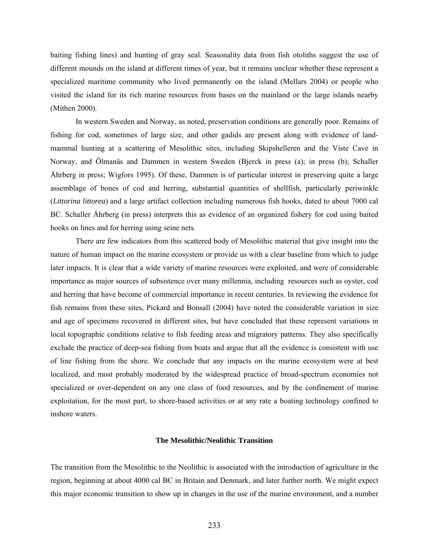baiting fishing lines) and hunting of gray seal. Seasonality data from fish otoliths suggest the use of different mounds on the island at different times of year, but it remains unclear whether these represent a specialized maritime community who lived permanently on the island (Mellars 2004) or people who visited the island for its rich marine resources from bases on the mainland or the large islands nearby (Mithen 2000).

In western Sweden and Norway, as noted, preservation conditions are generally poor. Remains of fishing for cod, sometimes of large size, and other gadids are present along with evidence of landmammal hunting at a scattering of Mesolithic sites, including Skipshelleren and the Viste Cave in Norway, and Ölmanäs and Dammen in western Sweden (Bjerck in press (a); in press (b); Schaller Åhrberg in press; Wigfors 1995). Of these, Dammen is of particular interest in preserving quite a large assemblage of bones of cod and herring, substantial quantities of shellfish, particularly periwinkle (*Littorina littorea*) and a large artifact collection including numerous fish hooks, dated to about 7000 cal BC. Schaller Åhrberg (in press) interprets this as evidence of an organized fishery for cod using baited hooks on lines and for herring using seine nets.

There are few indicators from this scattered body of Mesolithic material that give insight into the nature of human impact on the marine ecosystem or provide us with a clear baseline from which to judge later impacts. It is clear that a wide variety of marine resources were exploited, and were of considerable importance as major sources of subsistence over many millennia, including resources such as oyster, cod and herring that have become of commercial importance in recent centuries. In reviewing the evidence for fish remains from these sites, Pickard and Bonsall (2004) have noted the considerable variation in size and age of specimens recovered in different sites, but have concluded that these represent variations in local topographic conditions relative to fish feeding areas and migratory patterns. They also specifically exclude the practice of deep-sea fishing from boats and argue that all the evidence is consistent with use of line fishing from the shore. We conclude that any impacts on the marine ecosystem were at best localized, and most probably moderated by the widespread practice of broad-spectrum economies not specialized or over-dependent on any one class of food resources, and by the confinement of marine exploitation, for the most part, to shore-based activities or at any rate a boating technology confined to inshore waters.

#### **The Mesolithic/Neolithic Transition**

The transition from the Mesolithic to the Neolithic is associated with the introduction of agriculture in the region, beginning at about 4000 cal BC in Britain and Denmark, and later further north. We might expect this major economic transition to show up in changes in the use of the marine environment, and a number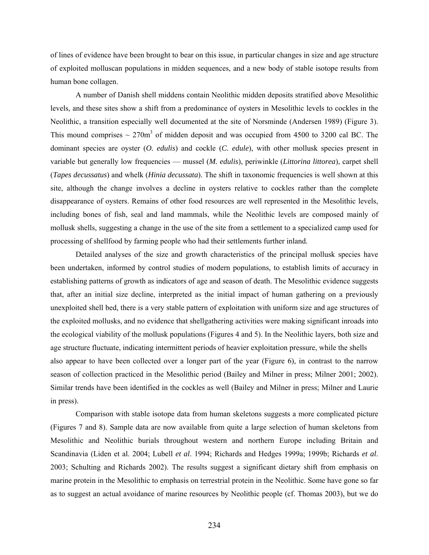of lines of evidence have been brought to bear on this issue, in particular changes in size and age structure of exploited molluscan populations in midden sequences, and a new body of stable isotope results from human bone collagen.

A number of Danish shell middens contain Neolithic midden deposits stratified above Mesolithic levels, and these sites show a shift from a predominance of oysters in Mesolithic levels to cockles in the Neolithic, a transition especially well documented at the site of Norsminde (Andersen 1989) (Figure 3). This mound comprises  $\sim 270 \text{m}^3$  of midden deposit and was occupied from 4500 to 3200 cal BC. The dominant species are oyster (*O. edulis*) and cockle (*C. edule*), with other mollusk species present in variable but generally low frequencies — mussel (*M. edulis*), periwinkle (*Littorina littorea*), carpet shell (*Tapes decussatus*) and whelk (*Hinia decussata*). The shift in taxonomic frequencies is well shown at this site, although the change involves a decline in oysters relative to cockles rather than the complete disappearance of oysters. Remains of other food resources are well represented in the Mesolithic levels, including bones of fish, seal and land mammals, while the Neolithic levels are composed mainly of mollusk shells, suggesting a change in the use of the site from a settlement to a specialized camp used for processing of shellfood by farming people who had their settlements further inland.

Detailed analyses of the size and growth characteristics of the principal mollusk species have been undertaken, informed by control studies of modern populations, to establish limits of accuracy in establishing patterns of growth as indicators of age and season of death. The Mesolithic evidence suggests that, after an initial size decline, interpreted as the initial impact of human gathering on a previously unexploited shell bed, there is a very stable pattern of exploitation with uniform size and age structures of the exploited mollusks, and no evidence that shellgathering activities were making significant inroads into the ecological viability of the mollusk populations (Figures 4 and 5). In the Neolithic layers, both size and age structure fluctuate, indicating intermittent periods of heavier exploitation pressure, while the shells also appear to have been collected over a longer part of the year (Figure 6), in contrast to the narrow season of collection practiced in the Mesolithic period (Bailey and Milner in press; Milner 2001; 2002). Similar trends have been identified in the cockles as well (Bailey and Milner in press; Milner and Laurie in press).

Comparison with stable isotope data from human skeletons suggests a more complicated picture (Figures 7 and 8). Sample data are now available from quite a large selection of human skeletons from Mesolithic and Neolithic burials throughout western and northern Europe including Britain and Scandinavia (Liden et al. 2004; Lubell *et al*. 1994; Richards and Hedges 1999a; 1999b; Richards *et al*. 2003; Schulting and Richards 2002). The results suggest a significant dietary shift from emphasis on marine protein in the Mesolithic to emphasis on terrestrial protein in the Neolithic. Some have gone so far as to suggest an actual avoidance of marine resources by Neolithic people (cf. Thomas 2003), but we do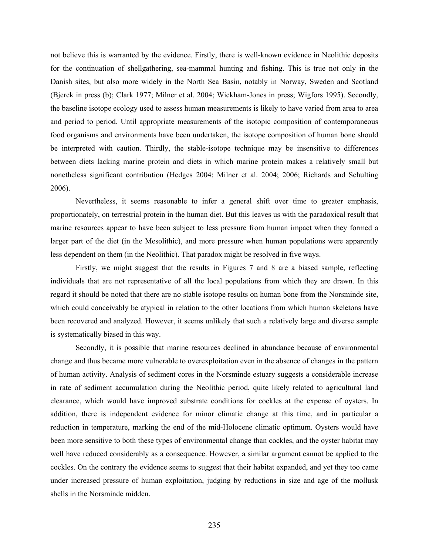not believe this is warranted by the evidence. Firstly, there is well-known evidence in Neolithic deposits for the continuation of shellgathering, sea-mammal hunting and fishing. This is true not only in the Danish sites, but also more widely in the North Sea Basin, notably in Norway, Sweden and Scotland (Bjerck in press (b); Clark 1977; Milner et al. 2004; Wickham-Jones in press; Wigfors 1995). Secondly, the baseline isotope ecology used to assess human measurements is likely to have varied from area to area and period to period. Until appropriate measurements of the isotopic composition of contemporaneous food organisms and environments have been undertaken, the isotope composition of human bone should be interpreted with caution. Thirdly, the stable-isotope technique may be insensitive to differences between diets lacking marine protein and diets in which marine protein makes a relatively small but nonetheless significant contribution (Hedges 2004; Milner et al. 2004; 2006; Richards and Schulting 2006).

Nevertheless, it seems reasonable to infer a general shift over time to greater emphasis, proportionately, on terrestrial protein in the human diet. But this leaves us with the paradoxical result that marine resources appear to have been subject to less pressure from human impact when they formed a larger part of the diet (in the Mesolithic), and more pressure when human populations were apparently less dependent on them (in the Neolithic). That paradox might be resolved in five ways.

Firstly, we might suggest that the results in Figures 7 and 8 are a biased sample, reflecting individuals that are not representative of all the local populations from which they are drawn. In this regard it should be noted that there are no stable isotope results on human bone from the Norsminde site, which could conceivably be atypical in relation to the other locations from which human skeletons have been recovered and analyzed. However, it seems unlikely that such a relatively large and diverse sample is systematically biased in this way.

Secondly, it is possible that marine resources declined in abundance because of environmental change and thus became more vulnerable to overexploitation even in the absence of changes in the pattern of human activity. Analysis of sediment cores in the Norsminde estuary suggests a considerable increase in rate of sediment accumulation during the Neolithic period, quite likely related to agricultural land clearance, which would have improved substrate conditions for cockles at the expense of oysters. In addition, there is independent evidence for minor climatic change at this time, and in particular a reduction in temperature, marking the end of the mid-Holocene climatic optimum. Oysters would have been more sensitive to both these types of environmental change than cockles, and the oyster habitat may well have reduced considerably as a consequence. However, a similar argument cannot be applied to the cockles. On the contrary the evidence seems to suggest that their habitat expanded, and yet they too came under increased pressure of human exploitation, judging by reductions in size and age of the mollusk shells in the Norsminde midden.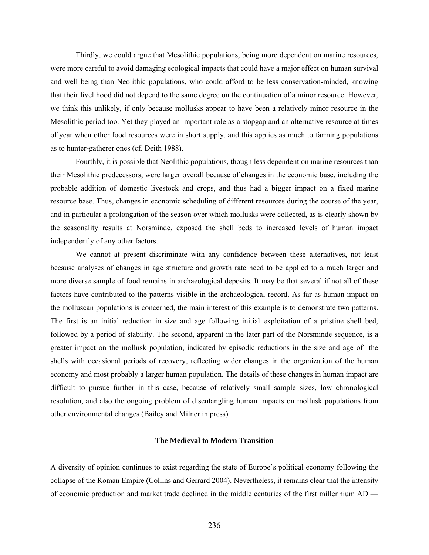Thirdly, we could argue that Mesolithic populations, being more dependent on marine resources, were more careful to avoid damaging ecological impacts that could have a major effect on human survival and well being than Neolithic populations, who could afford to be less conservation-minded, knowing that their livelihood did not depend to the same degree on the continuation of a minor resource. However, we think this unlikely, if only because mollusks appear to have been a relatively minor resource in the Mesolithic period too. Yet they played an important role as a stopgap and an alternative resource at times of year when other food resources were in short supply, and this applies as much to farming populations as to hunter-gatherer ones (cf. Deith 1988).

Fourthly, it is possible that Neolithic populations, though less dependent on marine resources than their Mesolithic predecessors, were larger overall because of changes in the economic base, including the probable addition of domestic livestock and crops, and thus had a bigger impact on a fixed marine resource base. Thus, changes in economic scheduling of different resources during the course of the year, and in particular a prolongation of the season over which mollusks were collected, as is clearly shown by the seasonality results at Norsminde, exposed the shell beds to increased levels of human impact independently of any other factors.

We cannot at present discriminate with any confidence between these alternatives, not least because analyses of changes in age structure and growth rate need to be applied to a much larger and more diverse sample of food remains in archaeological deposits. It may be that several if not all of these factors have contributed to the patterns visible in the archaeological record. As far as human impact on the molluscan populations is concerned, the main interest of this example is to demonstrate two patterns. The first is an initial reduction in size and age following initial exploitation of a pristine shell bed, followed by a period of stability. The second, apparent in the later part of the Norsminde sequence, is a greater impact on the mollusk population, indicated by episodic reductions in the size and age of the shells with occasional periods of recovery, reflecting wider changes in the organization of the human economy and most probably a larger human population. The details of these changes in human impact are difficult to pursue further in this case, because of relatively small sample sizes, low chronological resolution, and also the ongoing problem of disentangling human impacts on mollusk populations from other environmental changes (Bailey and Milner in press).

## **The Medieval to Modern Transition**

A diversity of opinion continues to exist regarding the state of Europe's political economy following the collapse of the Roman Empire (Collins and Gerrard 2004). Nevertheless, it remains clear that the intensity of economic production and market trade declined in the middle centuries of the first millennium AD —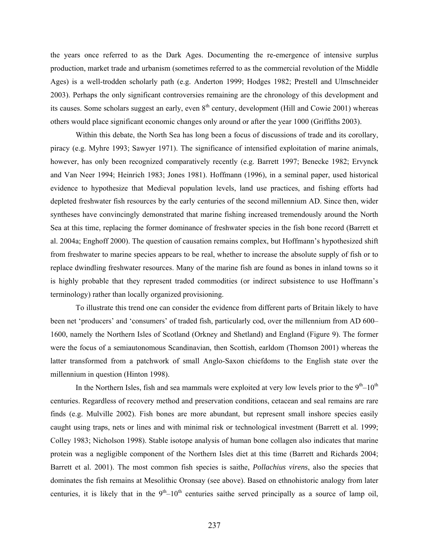the years once referred to as the Dark Ages. Documenting the re-emergence of intensive surplus production, market trade and urbanism (sometimes referred to as the commercial revolution of the Middle Ages) is a well-trodden scholarly path (e.g. Anderton 1999; Hodges 1982; Prestell and Ulmschneider 2003). Perhaps the only significant controversies remaining are the chronology of this development and its causes. Some scholars suggest an early, even  $8<sup>th</sup>$  century, development (Hill and Cowie 2001) whereas others would place significant economic changes only around or after the year 1000 (Griffiths 2003).

Within this debate, the North Sea has long been a focus of discussions of trade and its corollary, piracy (e.g. Myhre 1993; Sawyer 1971). The significance of intensified exploitation of marine animals, however, has only been recognized comparatively recently (e.g. Barrett 1997; Benecke 1982; Ervynck and Van Neer 1994; Heinrich 1983; Jones 1981). Hoffmann (1996), in a seminal paper, used historical evidence to hypothesize that Medieval population levels, land use practices, and fishing efforts had depleted freshwater fish resources by the early centuries of the second millennium AD. Since then, wider syntheses have convincingly demonstrated that marine fishing increased tremendously around the North Sea at this time, replacing the former dominance of freshwater species in the fish bone record (Barrett et al. 2004a; Enghoff 2000). The question of causation remains complex, but Hoffmann's hypothesized shift from freshwater to marine species appears to be real, whether to increase the absolute supply of fish or to replace dwindling freshwater resources. Many of the marine fish are found as bones in inland towns so it is highly probable that they represent traded commodities (or indirect subsistence to use Hoffmann's terminology) rather than locally organized provisioning.

To illustrate this trend one can consider the evidence from different parts of Britain likely to have been net 'producers' and 'consumers' of traded fish, particularly cod, over the millennium from AD 600– 1600, namely the Northern Isles of Scotland (Orkney and Shetland) and England (Figure 9). The former were the focus of a semiautonomous Scandinavian, then Scottish, earldom (Thomson 2001) whereas the latter transformed from a patchwork of small Anglo-Saxon chiefdoms to the English state over the millennium in question (Hinton 1998).

In the Northern Isles, fish and sea mammals were exploited at very low levels prior to the  $9<sup>th</sup>-10<sup>th</sup>$ centuries. Regardless of recovery method and preservation conditions, cetacean and seal remains are rare finds (e.g. Mulville 2002). Fish bones are more abundant, but represent small inshore species easily caught using traps, nets or lines and with minimal risk or technological investment (Barrett et al. 1999; Colley 1983; Nicholson 1998). Stable isotope analysis of human bone collagen also indicates that marine protein was a negligible component of the Northern Isles diet at this time (Barrett and Richards 2004; Barrett et al. 2001). The most common fish species is saithe, *Pollachius virens*, also the species that dominates the fish remains at Mesolithic Oronsay (see above). Based on ethnohistoric analogy from later centuries, it is likely that in the  $9<sup>th</sup>$ –10<sup>th</sup> centuries saithe served principally as a source of lamp oil,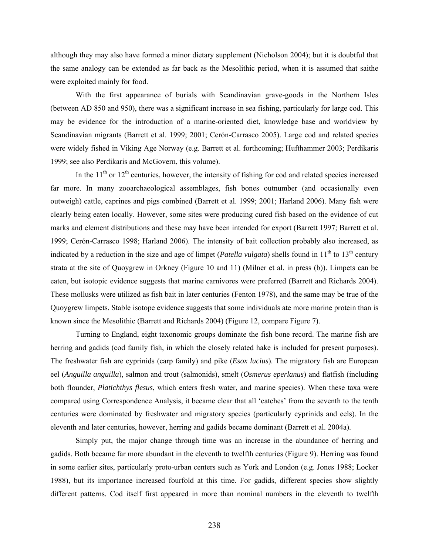although they may also have formed a minor dietary supplement (Nicholson 2004); but it is doubtful that the same analogy can be extended as far back as the Mesolithic period, when it is assumed that saithe were exploited mainly for food.

With the first appearance of burials with Scandinavian grave-goods in the Northern Isles (between AD 850 and 950), there was a significant increase in sea fishing, particularly for large cod. This may be evidence for the introduction of a marine-oriented diet, knowledge base and worldview by Scandinavian migrants (Barrett et al. 1999; 2001; Cerón-Carrasco 2005). Large cod and related species were widely fished in Viking Age Norway (e.g. Barrett et al. forthcoming; Hufthammer 2003; Perdikaris 1999; see also Perdikaris and McGovern, this volume).

In the  $11<sup>th</sup>$  or  $12<sup>th</sup>$  centuries, however, the intensity of fishing for cod and related species increased far more. In many zooarchaeological assemblages, fish bones outnumber (and occasionally even outweigh) cattle, caprines and pigs combined (Barrett et al. 1999; 2001; Harland 2006). Many fish were clearly being eaten locally. However, some sites were producing cured fish based on the evidence of cut marks and element distributions and these may have been intended for export (Barrett 1997; Barrett et al. 1999; Cerón-Carrasco 1998; Harland 2006). The intensity of bait collection probably also increased, as indicated by a reduction in the size and age of limpet (*Patella vulgata*) shells found in  $11<sup>th</sup>$  to  $13<sup>th</sup>$  century strata at the site of Quoygrew in Orkney (Figure 10 and 11) (Milner et al. in press (b)). Limpets can be eaten, but isotopic evidence suggests that marine carnivores were preferred (Barrett and Richards 2004). These mollusks were utilized as fish bait in later centuries (Fenton 1978), and the same may be true of the Quoygrew limpets. Stable isotope evidence suggests that some individuals ate more marine protein than is known since the Mesolithic (Barrett and Richards 2004) (Figure 12, compare Figure 7).

Turning to England, eight taxonomic groups dominate the fish bone record. The marine fish are herring and gadids (cod family fish, in which the closely related hake is included for present purposes). The freshwater fish are cyprinids (carp family) and pike (*Esox lucius*). The migratory fish are European eel (*Anguilla anguilla*), salmon and trout (salmonids), smelt (*Osmerus eperlanus*) and flatfish (including both flounder, *Platichthys flesus*, which enters fresh water, and marine species). When these taxa were compared using Correspondence Analysis, it became clear that all 'catches' from the seventh to the tenth centuries were dominated by freshwater and migratory species (particularly cyprinids and eels). In the eleventh and later centuries, however, herring and gadids became dominant (Barrett et al. 2004a).

Simply put, the major change through time was an increase in the abundance of herring and gadids. Both became far more abundant in the eleventh to twelfth centuries (Figure 9). Herring was found in some earlier sites, particularly proto-urban centers such as York and London (e.g. Jones 1988; Locker 1988), but its importance increased fourfold at this time. For gadids, different species show slightly different patterns. Cod itself first appeared in more than nominal numbers in the eleventh to twelfth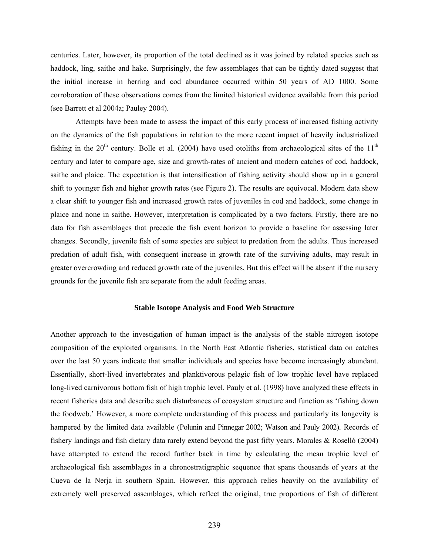centuries. Later, however, its proportion of the total declined as it was joined by related species such as haddock, ling, saithe and hake. Surprisingly, the few assemblages that can be tightly dated suggest that the initial increase in herring and cod abundance occurred within 50 years of AD 1000. Some corroboration of these observations comes from the limited historical evidence available from this period (see Barrett et al 2004a; Pauley 2004).

Attempts have been made to assess the impact of this early process of increased fishing activity on the dynamics of the fish populations in relation to the more recent impact of heavily industrialized fishing in the 20<sup>th</sup> century. Bolle et al. (2004) have used otoliths from archaeological sites of the 11<sup>th</sup> century and later to compare age, size and growth-rates of ancient and modern catches of cod, haddock, saithe and plaice. The expectation is that intensification of fishing activity should show up in a general shift to younger fish and higher growth rates (see Figure 2). The results are equivocal. Modern data show a clear shift to younger fish and increased growth rates of juveniles in cod and haddock, some change in plaice and none in saithe. However, interpretation is complicated by a two factors. Firstly, there are no data for fish assemblages that precede the fish event horizon to provide a baseline for assessing later changes. Secondly, juvenile fish of some species are subject to predation from the adults. Thus increased predation of adult fish, with consequent increase in growth rate of the surviving adults, may result in greater overcrowding and reduced growth rate of the juveniles, But this effect will be absent if the nursery grounds for the juvenile fish are separate from the adult feeding areas.

#### **Stable Isotope Analysis and Food Web Structure**

Another approach to the investigation of human impact is the analysis of the stable nitrogen isotope composition of the exploited organisms. In the North East Atlantic fisheries, statistical data on catches over the last 50 years indicate that smaller individuals and species have become increasingly abundant. Essentially, short-lived invertebrates and planktivorous pelagic fish of low trophic level have replaced long-lived carnivorous bottom fish of high trophic level. Pauly et al. (1998) have analyzed these effects in recent fisheries data and describe such disturbances of ecosystem structure and function as 'fishing down the foodweb.' However, a more complete understanding of this process and particularly its longevity is hampered by the limited data available (Polunin and Pinnegar 2002; Watson and Pauly 2002). Records of fishery landings and fish dietary data rarely extend beyond the past fifty years. Morales & Roselló (2004) have attempted to extend the record further back in time by calculating the mean trophic level of archaeological fish assemblages in a chronostratigraphic sequence that spans thousands of years at the Cueva de la Nerja in southern Spain. However, this approach relies heavily on the availability of extremely well preserved assemblages, which reflect the original, true proportions of fish of different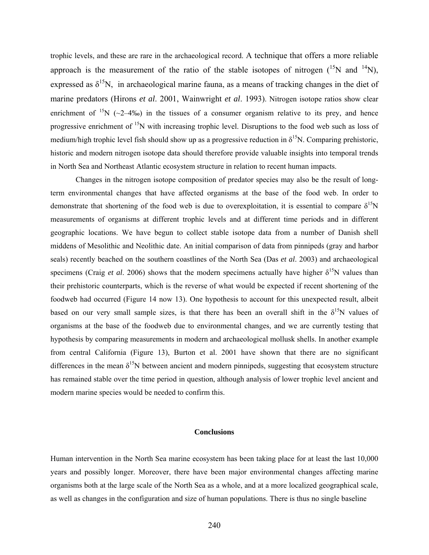trophic levels, and these are rare in the archaeological record. A technique that offers a more reliable approach is the measurement of the ratio of the stable isotopes of nitrogen  $(^{15}N$  and  $^{14}N$ ), expressed as  $\delta^{15}N$ , in archaeological marine fauna, as a means of tracking changes in the diet of marine predators (Hirons *et al*. 2001, Wainwright *et al*. 1993). Nitrogen isotope ratios show clear enrichment of <sup>15</sup>N ( $\sim$ 2–4‰) in the tissues of a consumer organism relative to its prey, and hence progressive enrichment of <sup>15</sup>N with increasing trophic level. Disruptions to the food web such as loss of medium/high trophic level fish should show up as a progressive reduction in  $\delta^{15}N$ . Comparing prehistoric, historic and modern nitrogen isotope data should therefore provide valuable insights into temporal trends in North Sea and Northeast Atlantic ecosystem structure in relation to recent human impacts.

Changes in the nitrogen isotope composition of predator species may also be the result of longterm environmental changes that have affected organisms at the base of the food web. In order to demonstrate that shortening of the food web is due to overexploitation, it is essential to compare  $\delta^{15}N$ measurements of organisms at different trophic levels and at different time periods and in different geographic locations. We have begun to collect stable isotope data from a number of Danish shell middens of Mesolithic and Neolithic date. An initial comparison of data from pinnipeds (gray and harbor seals) recently beached on the southern coastlines of the North Sea (Das *et al*. 2003) and archaeological specimens (Craig *et al.* 2006) shows that the modern specimens actually have higher  $\delta^{15}N$  values than their prehistoric counterparts, which is the reverse of what would be expected if recent shortening of the foodweb had occurred (Figure 14 now 13). One hypothesis to account for this unexpected result, albeit based on our very small sample sizes, is that there has been an overall shift in the  $\delta^{15}N$  values of organisms at the base of the foodweb due to environmental changes, and we are currently testing that hypothesis by comparing measurements in modern and archaeological mollusk shells. In another example from central California (Figure 13), Burton et al. 2001 have shown that there are no significant differences in the mean  $\delta^{15}N$  between ancient and modern pinnipeds, suggesting that ecosystem structure has remained stable over the time period in question, although analysis of lower trophic level ancient and modern marine species would be needed to confirm this.

# **Conclusions**

Human intervention in the North Sea marine ecosystem has been taking place for at least the last 10,000 years and possibly longer. Moreover, there have been major environmental changes affecting marine organisms both at the large scale of the North Sea as a whole, and at a more localized geographical scale, as well as changes in the configuration and size of human populations. There is thus no single baseline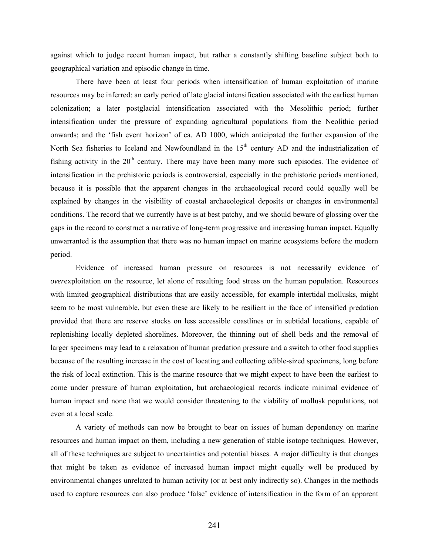against which to judge recent human impact, but rather a constantly shifting baseline subject both to geographical variation and episodic change in time.

There have been at least four periods when intensification of human exploitation of marine resources may be inferred: an early period of late glacial intensification associated with the earliest human colonization; a later postglacial intensification associated with the Mesolithic period; further intensification under the pressure of expanding agricultural populations from the Neolithic period onwards; and the 'fish event horizon' of ca. AD 1000, which anticipated the further expansion of the North Sea fisheries to Iceland and Newfoundland in the 15<sup>th</sup> century AD and the industrialization of fishing activity in the  $20<sup>th</sup>$  century. There may have been many more such episodes. The evidence of intensification in the prehistoric periods is controversial, especially in the prehistoric periods mentioned, because it is possible that the apparent changes in the archaeological record could equally well be explained by changes in the visibility of coastal archaeological deposits or changes in environmental conditions. The record that we currently have is at best patchy, and we should beware of glossing over the gaps in the record to construct a narrative of long-term progressive and increasing human impact. Equally unwarranted is the assumption that there was no human impact on marine ecosystems before the modern period.

Evidence of increased human pressure on resources is not necessarily evidence of *over*exploitation on the resource, let alone of resulting food stress on the human population. Resources with limited geographical distributions that are easily accessible, for example intertidal mollusks, might seem to be most vulnerable, but even these are likely to be resilient in the face of intensified predation provided that there are reserve stocks on less accessible coastlines or in subtidal locations, capable of replenishing locally depleted shorelines. Moreover, the thinning out of shell beds and the removal of larger specimens may lead to a relaxation of human predation pressure and a switch to other food supplies because of the resulting increase in the cost of locating and collecting edible-sized specimens, long before the risk of local extinction. This is the marine resource that we might expect to have been the earliest to come under pressure of human exploitation, but archaeological records indicate minimal evidence of human impact and none that we would consider threatening to the viability of mollusk populations, not even at a local scale.

A variety of methods can now be brought to bear on issues of human dependency on marine resources and human impact on them, including a new generation of stable isotope techniques. However, all of these techniques are subject to uncertainties and potential biases. A major difficulty is that changes that might be taken as evidence of increased human impact might equally well be produced by environmental changes unrelated to human activity (or at best only indirectly so). Changes in the methods used to capture resources can also produce 'false' evidence of intensification in the form of an apparent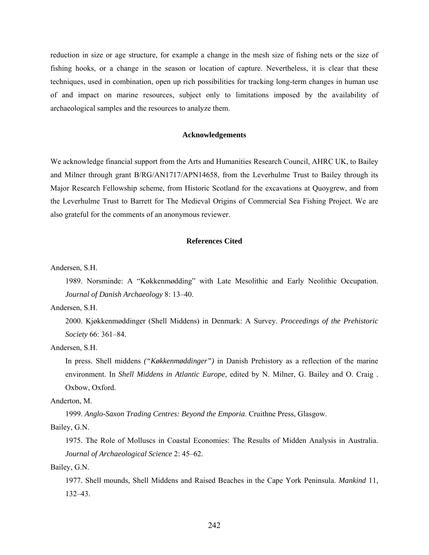reduction in size or age structure, for example a change in the mesh size of fishing nets or the size of fishing hooks, or a change in the season or location of capture. Nevertheless, it is clear that these techniques, used in combination, open up rich possibilities for tracking long-term changes in human use of and impact on marine resources, subject only to limitations imposed by the availability of archaeological samples and the resources to analyze them.

### **Acknowledgements**

We acknowledge financial support from the Arts and Humanities Research Council, AHRC UK, to Bailey and Milner through grant B/RG/AN1717/APN14658, from the Leverhulme Trust to Bailey through its Major Research Fellowship scheme, from Historic Scotland for the excavations at Quoygrew, and from the Leverhulme Trust to Barrett for The Medieval Origins of Commercial Sea Fishing Project. We are also grateful for the comments of an anonymous reviewer.

## **References Cited**

Andersen, S.H.

1989. Norsminde: A "Køkkenmødding" with Late Mesolithic and Early Neolithic Occupation. *Journal of Danish Archaeology* 8: 13–40.

Andersen, S.H.

2000. Kjøkkenmøddinger (Shell Middens) in Denmark: A Survey. *Proceedings of the Prehistoric Society* 66: 361–84.

Andersen, S.H.

In press. Shell middens *("Køkkenmøddinger")* in Danish Prehistory as a reflection of the marine environment. In *Shell Middens in Atlantic Europe*, edited by N. Milner, G. Bailey and O. Craig . Oxbow, Oxford.

Anderton, M.

1999. *Anglo-Saxon Trading Centres: Beyond the Emporia*. Cruithne Press, Glasgow.

Bailey, G.N.

1975. The Role of Molluscs in Coastal Economies: The Results of Midden Analysis in Australia. *Journal of Archaeological Science* 2: 45–62.

Bailey, G.N.

1977. Shell mounds, Shell Middens and Raised Beaches in the Cape York Peninsula. *Mankind* 11, 132–43.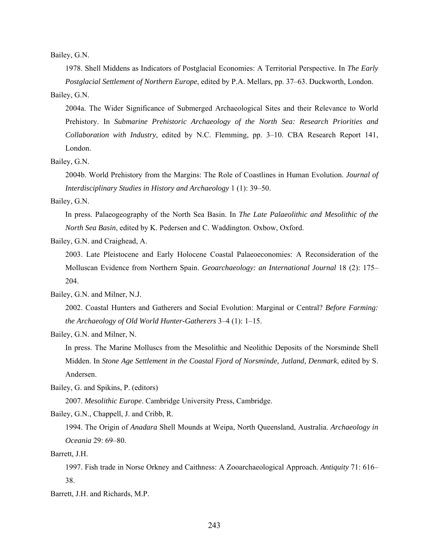Bailey, G.N.

1978. Shell Middens as Indicators of Postglacial Economies: A Territorial Perspective. In *The Early Postglacial Settlement of Northern Europe*, edited by P.A. Mellars, pp. 37–63. Duckworth, London.

Bailey, G.N.

2004a. The Wider Significance of Submerged Archaeological Sites and their Relevance to World Prehistory. In *Submarine Prehistoric Archaeology of the North Sea: Research Priorities and Collaboration with Industry*, edited by N.C. Flemming, pp. 3–10. CBA Research Report 141, London.

Bailey, G.N.

2004b. World Prehistory from the Margins: The Role of Coastlines in Human Evolution. *Journal of Interdisciplinary Studies in History and Archaeology* 1 (1): 39–50.

Bailey, G.N.

In press. Palaeogeography of the North Sea Basin. In *The Late Palaeolithic and Mesolithic of the North Sea Basin*, edited by K. Pedersen and C. Waddington. Oxbow, Oxford.

Bailey, G.N. and Craighead, A.

2003. Late Pleistocene and Early Holocene Coastal Palaeoeconomies: A Reconsideration of the Molluscan Evidence from Northern Spain. *Geoarchaeology: an International Journal* 18 (2): 175– 204.

Bailey, G.N. and Milner, N.J.

2002. Coastal Hunters and Gatherers and Social Evolution: Marginal or Central? *Before Farming: the Archaeology of Old World Hunter-Gatherers* 3–4 (1): 1–15.

Bailey, G.N. and Milner, N.

In press. The Marine Molluscs from the Mesolithic and Neolithic Deposits of the Norsminde Shell Midden. In *Stone Age Settlement in the Coastal Fjord of Norsminde, Jutland, Denmark*, edited by S. Andersen.

Bailey, G. and Spikins, P. (editors)

2007. *Mesolithic Europe*. Cambridge University Press, Cambridge.

Bailey, G.N., Chappell, J. and Cribb, R.

1994. The Origin of *Anadara* Shell Mounds at Weipa, North Queensland, Australia. *Archaeology in Oceania* 29: 69–80.

Barrett, J.H.

1997. Fish trade in Norse Orkney and Caithness: A Zooarchaeological Approach. *Antiquity* 71: 616– 38.

Barrett, J.H. and Richards, M.P.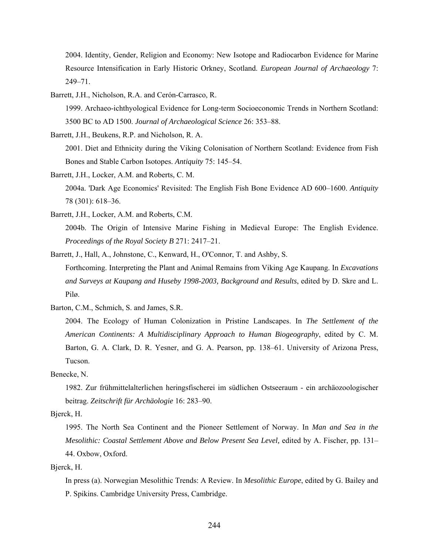2004. Identity, Gender, Religion and Economy: New Isotope and Radiocarbon Evidence for Marine Resource Intensification in Early Historic Orkney, Scotland. *European Journal of Archaeology* 7: 249–71.

Barrett, J.H., Nicholson, R.A. and Cerón-Carrasco, R.

1999. Archaeo-ichthyological Evidence for Long-term Socioeconomic Trends in Northern Scotland: 3500 BC to AD 1500. *Journal of Archaeological Science* 26: 353–88.

Barrett, J.H., Beukens, R.P. and Nicholson, R. A.

2001. Diet and Ethnicity during the Viking Colonisation of Northern Scotland: Evidence from Fish Bones and Stable Carbon Isotopes. *Antiquity* 75: 145–54.

Barrett, J.H., Locker, A.M. and Roberts, C. M.

2004a. 'Dark Age Economics' Revisited: The English Fish Bone Evidence AD 600–1600. *Antiquity* 78 (301): 618–36.

Barrett, J.H., Locker, A.M. and Roberts, C.M.

2004b. The Origin of Intensive Marine Fishing in Medieval Europe: The English Evidence. *Proceedings of the Royal Society B* 271: 2417–21.

Barrett, J., Hall, A., Johnstone, C., Kenward, H., O'Connor, T. and Ashby, S. Forthcoming. Interpreting the Plant and Animal Remains from Viking Age Kaupang. In *Excavations and Surveys at Kaupang and Huseby 1998-2003, Background and Results*, edited by D. Skre and L. Pilø.

Barton, C.M., Schmich, S. and James, S.R.

2004. The Ecology of Human Colonization in Pristine Landscapes. In *The Settlement of the American Continents: A Multidisciplinary Approach to Human Biogeography*, edited by C. M. Barton, G. A. Clark, D. R. Yesner, and G. A. Pearson, pp. 138–61. University of Arizona Press, Tucson.

Benecke, N.

1982. Zur frühmittelalterlichen heringsfischerei im südlichen Ostseeraum - ein archäozoologischer beitrag. *Zeitschrift für Archäologie* 16: 283–90.

Bjerck, H.

1995. The North Sea Continent and the Pioneer Settlement of Norway. In *Man and Sea in the Mesolithic: Coastal Settlement Above and Below Present Sea Level, edited by A. Fischer, pp. 131–* 44. Oxbow, Oxford.

Bjerck, H.

In press (a). Norwegian Mesolithic Trends: A Review. In *Mesolithic Europe*, edited by G. Bailey and P. Spikins. Cambridge University Press, Cambridge.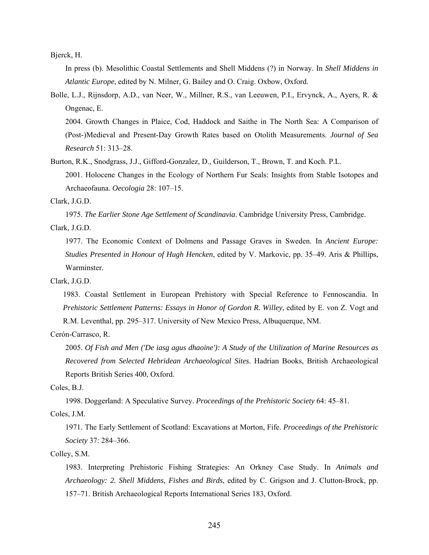Bjerck, H.

In press (b). Mesolithic Coastal Settlements and Shell Middens (?) in Norway. In *Shell Middens in Atlantic Europe*, edited by N. Milner, G. Bailey and O. Craig. Oxbow, Oxford.

Bolle, L.J., Rijnsdorp, A.D., van Neer, W., Millner, R.S., van Leeuwen, P.I., Ervynck, A., Ayers, R. & Ongenac, E.

2004. Growth Changes in Plaice, Cod, Haddock and Saithe in The North Sea: A Comparison of (Post-)Medieval and Present-Day Growth Rates based on Otolith Measurements. *Journal of Sea Research* 51: 313–28.

Burton, R.K., Snodgrass, J.J., Gifford-Gonzalez, D., Guilderson, T., Brown, T. and Koch. P.L.

2001. Holocene Changes in the Ecology of Northern Fur Seals: Insights from Stable Isotopes and Archaeofauna. *Oecologia* 28: 107–15.

Clark, J.G.D.

1975. *The Earlier Stone Age Settlement of Scandinavia*. Cambridge University Press, Cambridge. Clark, J.G.D.

1977. The Economic Context of Dolmens and Passage Graves in Sweden. In *Ancient Europe: Studies Presented in Honour of Hugh Hencken*, edited by V. Markovic, pp. 35–49. Aris & Phillips, **Warminster** 

Clark, J.G.D.

1983. Coastal Settlement in European Prehistory with Special Reference to Fennoscandia. In *Prehistoric Settlement Patterns: Essays in Honor of Gordon R. Willey*, edited by E. von Z. Vogt and R.M. Leventhal, pp. 295–317. University of New Mexico Press, Albuquerque, NM.

Cerón-Carrasco, R.

2005. *Of Fish and Men ('De iasg agus dhaoine'): A Study of the Utilization of Marine Resources as Recovered from Selected Hebridean Archaeological Sites*. Hadrian Books, British Archaeological Reports British Series 400, Oxford.

Coles, B.J.

1998. Doggerland: A Speculative Survey. *Proceedings of the Prehistoric Society* 64: 45–81.

Coles, J.M.

1971. The Early Settlement of Scotland: Excavations at Morton, Fife. *Proceedings of the Prehistoric Society* 37: 284–366.

Colley, S.M.

1983. Interpreting Prehistoric Fishing Strategies: An Orkney Case Study. In *Animals and Archaeology: 2. Shell Middens, Fishes and Birds*, edited by C. Grigson and J. Clutton-Brock, pp. 157–71. British Archaeological Reports International Series 183, Oxford.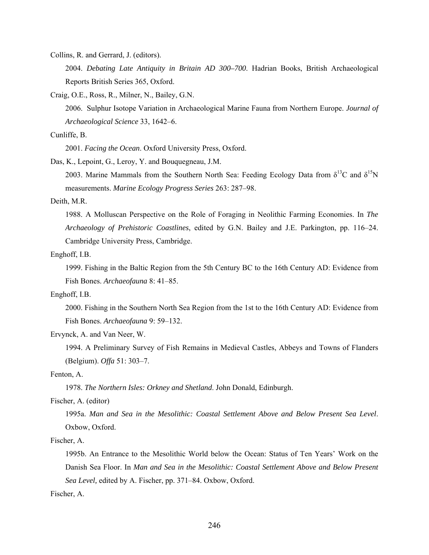Collins, R. and Gerrard, J. (editors).

2004. *Debating Late Antiquity in Britain AD 300–700*. Hadrian Books, British Archaeological Reports British Series 365, Oxford.

Craig, O.E., Ross, R., Milner, N., Bailey, G.N.

2006. Sulphur Isotope Variation in Archaeological Marine Fauna from Northern Europe. *Journal of Archaeological Science* 33, 1642–6.

Cunliffe, B.

2001. *Facing the Ocean*. Oxford University Press, Oxford.

Das, K., Lepoint, G., Leroy, Y. and Bouquegneau, J.M.

2003. Marine Mammals from the Southern North Sea: Feeding Ecology Data from  $\delta^{13}C$  and  $\delta^{15}N$ measurements. *Marine Ecology Progress Series* 263: 287–98.

Deith, M.R.

1988. A Molluscan Perspective on the Role of Foraging in Neolithic Farming Economies. In *The Archaeology of Prehistoric Coastlines*, edited by G.N. Bailey and J.E. Parkington, pp. 116–24. Cambridge University Press, Cambridge.

Enghoff, I.B.

1999. Fishing in the Baltic Region from the 5th Century BC to the 16th Century AD: Evidence from Fish Bones. *Archaeofauna* 8: 41–85.

Enghoff, I.B.

2000. Fishing in the Southern North Sea Region from the 1st to the 16th Century AD: Evidence from Fish Bones. *Archaeofauna* 9: 59–132.

Ervynck, A. and Van Neer, W.

1994. A Preliminary Survey of Fish Remains in Medieval Castles, Abbeys and Towns of Flanders (Belgium). *Offa* 51: 303–7.

Fenton, A.

1978. *The Northern Isles: Orkney and Shetland*. John Donald, Edinburgh.

Fischer, A. (editor)

1995a. *Man and Sea in the Mesolithic: Coastal Settlement Above and Below Present Sea Level*. Oxbow, Oxford.

Fischer, A.

1995b. An Entrance to the Mesolithic World below the Ocean: Status of Ten Years' Work on the Danish Sea Floor. In *Man and Sea in the Mesolithic: Coastal Settlement Above and Below Present Sea Level,* edited by A. Fischer, pp. 371–84. Oxbow, Oxford.

Fischer, A.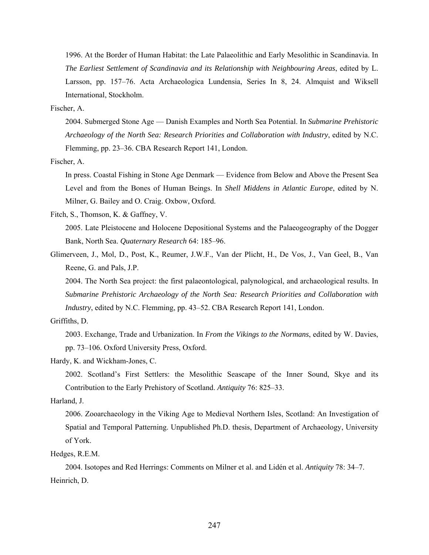1996. At the Border of Human Habitat: the Late Palaeolithic and Early Mesolithic in Scandinavia. In *The Earliest Settlement of Scandinavia and its Relationship with Neighbouring Areas*, edited by L. Larsson, pp. 157–76. Acta Archaeologica Lundensia, Series In 8, 24. Almquist and Wiksell International, Stockholm.

Fischer, A.

2004. Submerged Stone Age — Danish Examples and North Sea Potential. In *Submarine Prehistoric Archaeology of the North Sea: Research Priorities and Collaboration with Industry*, edited by N.C. Flemming, pp. 23–36. CBA Research Report 141, London.

Fischer, A.

In press. Coastal Fishing in Stone Age Denmark — Evidence from Below and Above the Present Sea Level and from the Bones of Human Beings. In *Shell Middens in Atlantic Europe*, edited by N. Milner, G. Bailey and O. Craig. Oxbow, Oxford.

Fitch, S., Thomson, K. & Gaffney, V.

2005. Late Pleistocene and Holocene Depositional Systems and the Palaeogeography of the Dogger Bank, North Sea. *Quaternary Research* 64: 185–96.

Glimerveen, J., Mol, D., Post, K., Reumer, J.W.F., Van der Plicht, H., De Vos, J., Van Geel, B., Van Reene, G. and Pals, J.P.

2004. The North Sea project: the first palaeontological, palynological, and archaeological results. In *Submarine Prehistoric Archaeology of the North Sea: Research Priorities and Collaboration with Industry*, edited by N.C. Flemming, pp. 43–52. CBA Research Report 141, London.

Griffiths, D.

2003. Exchange, Trade and Urbanization. In *From the Vikings to the Normans*, edited by W. Davies, pp. 73–106. Oxford University Press, Oxford.

Hardy, K. and Wickham-Jones, C.

2002. Scotland's First Settlers: the Mesolithic Seascape of the Inner Sound, Skye and its Contribution to the Early Prehistory of Scotland. *Antiquity* 76: 825–33.

Harland, J.

2006. Zooarchaeology in the Viking Age to Medieval Northern Isles, Scotland: An Investigation of Spatial and Temporal Patterning. Unpublished Ph.D. thesis, Department of Archaeology, University of York.

Hedges, R.E.M.

2004. Isotopes and Red Herrings: Comments on Milner et al. and Lidén et al. *Antiquity* 78: 34–7. Heinrich, D.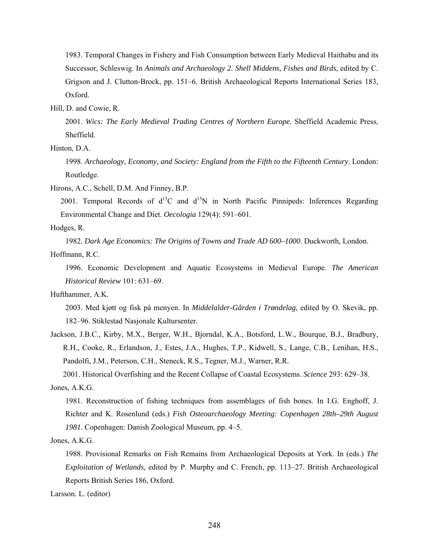1983. Temporal Changes in Fishery and Fish Consumption between Early Medieval Haithabu and its Successor, Schleswig. In *Animals and Archaeology 2. Shell Middens, Fishes and Birds*, edited by C. Grigson and J. Clutton-Brock, pp. 151–6. British Archaeological Reports International Series 183, Oxford.

Hill, D. and Cowie, R.

2001. *Wics: The Early Medieval Trading Centres of Northern Europe*. Sheffield Academic Press, Sheffield.

Hinton, D.A.

1998. *Archaeology, Economy, and Society: England from the Fifth to the Fifteenth Century*. London: Routledge.

Hirons, A.C., Schell, D.M. And Finney, B.P.

2001. Temporal Records of  $d^{13}C$  and  $d^{15}N$  in North Pacific Pinnipeds: Inferences Regarding Environmental Change and Diet. *Oecologia* 129(4): 591–601.

Hodges, R.

1982. *Dark Age Economics: The Origins of Towns and Trade AD 600–1000*. Duckworth, London. Hoffmann, R.C.

1996. Economic Development and Aquatic Ecosystems in Medieval Europe. *The American Historical Review* 101: 631–69.

Hufthammer, A.K.

2003. Med kjøtt og fisk på menyen. In *Middelalder-Gården i Trøndelag,* edited by O. Skevik, pp. 182–96. Stiklestad Nasjonale Kultursenter.

Jackson, J.B.C., Kirby, M.X., Berger, W.H., Bjorndal, K.A., Botsford, L.W., Bourque, B.J., Bradbury, R.H., Cooke, R., Erlandson, J., Estes, J.A., Hughes, T.P., Kidwell, S., Lange, C.B., Lenihan, H.S., Pandolfi, J.M., Peterson, C.H., Steneck, R.S., Tegner, M.J., Warner, R.R.

2001. Historical Overfishing and the Recent Collapse of Coastal Ecosystems. *Science* 293: 629–38. Jones, A.K.G.

1981. Reconstruction of fishing techniques from assemblages of fish bones. In I.G. Enghoff, J. Richter and K. Rosenlund (eds.) *Fish Osteoarchaeology Meeting: Copenhagen 28th–29th August 1981*. Copenhagen: Danish Zoological Museum, pp. 4–5.

Jones, A.K.G.

1988. Provisional Remarks on Fish Remains from Archaeological Deposits at York. In (eds.) *The Exploitation of Wetlands*, edited by P. Murphy and C. French, pp. 113–27. British Archaeological Reports British Series 186, Oxford.

Larsson. L. (editor)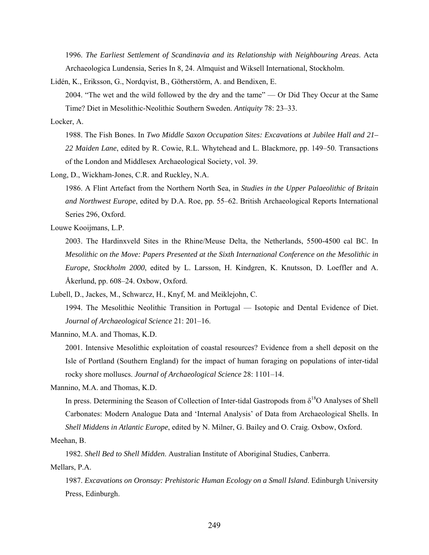1996. *The Earliest Settlement of Scandinavia and its Relationship with Neighbouring Areas*. Acta Archaeologica Lundensia, Series In 8, 24. Almquist and Wiksell International, Stockholm.

Lidén, K., Eriksson, G., Nordqvist, B., Götherstörm, A. and Bendixen, E.

2004. "The wet and the wild followed by the dry and the tame" — Or Did They Occur at the Same Time? Diet in Mesolithic-Neolithic Southern Sweden. *Antiquity* 78: 23–33.

Locker, A.

1988. The Fish Bones. In *Two Middle Saxon Occupation Sites: Excavations at Jubilee Hall and 21– 22 Maiden Lane*, edited by R. Cowie, R.L. Whytehead and L. Blackmore, pp. 149–50. Transactions of the London and Middlesex Archaeological Society, vol. 39.

Long, D., Wickham-Jones, C.R. and Ruckley, N.A.

1986. A Flint Artefact from the Northern North Sea, in *Studies in the Upper Palaeolithic of Britain and Northwest Europe*, edited by D.A. Roe, pp. 55–62. British Archaeological Reports International Series 296, Oxford.

Louwe Kooijmans, L.P.

2003. The Hardinxveld Sites in the Rhine/Meuse Delta, the Netherlands, 5500-4500 cal BC. In *Mesolithic on the Move: Papers Presented at the Sixth International Conference on the Mesolithic in Europe, Stockholm 2000*, edited by L. Larsson, H. Kindgren, K. Knutsson, D. Loeffler and A. Åkerlund, pp. 608–24. Oxbow, Oxford.

Lubell, D., Jackes, M., Schwarcz, H., Knyf, M. and Meiklejohn, C.

1994. The Mesolithic Neolithic Transition in Portugal — Isotopic and Dental Evidence of Diet. *Journal of Archaeological Science* 21: 201–16.

Mannino, M.A. and Thomas, K.D.

2001. Intensive Mesolithic exploitation of coastal resources? Evidence from a shell deposit on the Isle of Portland (Southern England) for the impact of human foraging on populations of inter-tidal rocky shore molluscs. *Journal of Archaeological Science* 28: 1101–14.

Mannino, M.A. and Thomas, K.D.

In press. Determining the Season of Collection of Inter-tidal Gastropods from  $\delta^{18}O$  Analyses of Shell Carbonates: Modern Analogue Data and 'Internal Analysis' of Data from Archaeological Shells. In *Shell Middens in Atlantic Europe*, edited by N. Milner, G. Bailey and O. Craig. Oxbow, Oxford.

Meehan, B.

1982. *Shell Bed to Shell Midden*. Australian Institute of Aboriginal Studies, Canberra.

Mellars, P.A.

1987. *Excavations on Oronsay: Prehistoric Human Ecology on a Small Island*. Edinburgh University Press, Edinburgh.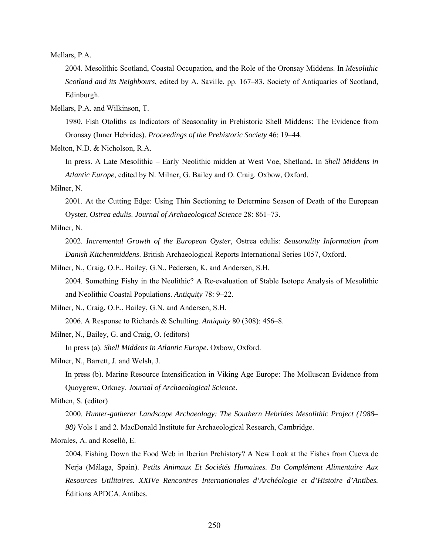Mellars, P.A.

2004. Mesolithic Scotland, Coastal Occupation, and the Role of the Oronsay Middens. In *Mesolithic Scotland and its Neighbours*, edited by A. Saville, pp. 167–83. Society of Antiquaries of Scotland, Edinburgh.

Mellars, P.A. and Wilkinson, T.

1980. Fish Otoliths as Indicators of Seasonality in Prehistoric Shell Middens: The Evidence from Oronsay (Inner Hebrides). *Proceedings of the Prehistoric Society* 46: 19–44.

Melton, N.D. & Nicholson, R.A.

In press. A Late Mesolithic – Early Neolithic midden at West Voe, Shetland**.** In *Shell Middens in Atlantic Europe*, edited by N. Milner, G. Bailey and O. Craig. Oxbow, Oxford.

Milner, N.

2001. At the Cutting Edge: Using Thin Sectioning to Determine Season of Death of the European Oyster, *Ostrea edulis*. *Journal of Archaeological Science* 28: 861–73.

Milner, N.

2002. *Incremental Growth of the European Oyster,* Ostrea edulis*: Seasonality Information from Danish Kitchenmiddens*. British Archaeological Reports International Series 1057, Oxford.

Milner, N., Craig, O.E., Bailey, G.N., Pedersen, K. and Andersen, S.H. 2004. Something Fishy in the Neolithic? A Re-evaluation of Stable Isotope Analysis of Mesolithic and Neolithic Coastal Populations. *Antiquity* 78: 9–22.

Milner, N., Craig, O.E., Bailey, G.N. and Andersen, S.H.

2006. A Response to Richards & Schulting. *Antiquity* 80 (308): 456–8.

Milner, N., Bailey, G. and Craig, O. (editors)

In press (a). *Shell Middens in Atlantic Europe*. Oxbow, Oxford.

Milner, N., Barrett, J. and Welsh, J.

In press (b). Marine Resource Intensification in Viking Age Europe: The Molluscan Evidence from Quoygrew, Orkney. *Journal of Archaeological Science*.

Mithen, S. (editor)

2000. *Hunter-gatherer Landscape Archaeology: The Southern Hebrides Mesolithic Project (1988– 98)* Vols 1 and 2. MacDonald Institute for Archaeological Research, Cambridge.

Morales, A. and Roselló, E.

2004. Fishing Down the Food Web in Iberian Prehistory? A New Look at the Fishes from Cueva de Nerja (Málaga, Spain). *Petits Animaux Et Sociétés Humaines. Du Complément Alimentaire Aux Resources Utilitaires. XXIVe Rencontres Internationales d'Archéologie et d'Histoire d'Antibes.* Éditions APDCA, Antibes.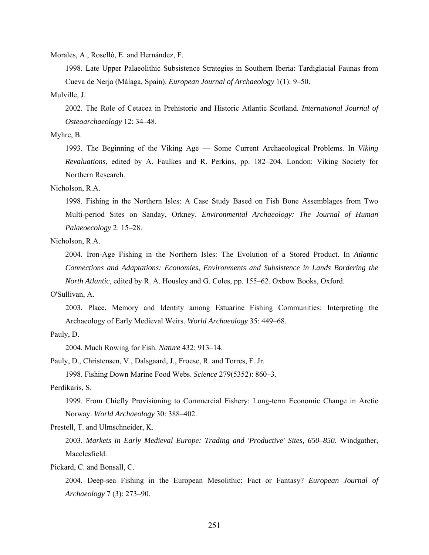Morales, A., Roselló, E. and Hernández, F.

1998. Late Upper Palaeolithic Subsistence Strategies in Southern Iberia: Tardiglacial Faunas from Cueva de Nerja (Málaga, Spain). *European Journal of Archaeology* 1(1): 9–50.

Mulville, J.

2002. The Role of Cetacea in Prehistoric and Historic Atlantic Scotland. *International Journal of Osteoarchaeology* 12: 34–48.

Myhre, B.

1993. The Beginning of the Viking Age — Some Current Archaeological Problems. In *Viking Revaluations*, edited by A. Faulkes and R. Perkins, pp. 182–204. London: Viking Society for Northern Research.

Nicholson, R.A.

1998. Fishing in the Northern Isles: A Case Study Based on Fish Bone Assemblages from Two Multi-period Sites on Sanday, Orkney. *Environmental Archaeology: The Journal of Human Palaeoecology* 2: 15–28.

Nicholson, R.A.

2004. Iron-Age Fishing in the Northern Isles: The Evolution of a Stored Product. In *Atlantic Connections and Adaptations: Economies, Environments and Subsistence in Lands Bordering the North Atlantic*, edited by R. A. Housley and G. Coles, pp. 155–62. Oxbow Books, Oxford.

O'Sullivan, A.

2003. Place, Memory and Identity among Estuarine Fishing Communities: Interpreting the Archaeology of Early Medieval Weirs. *World Archaeology* 35: 449–68.

Pauly, D.

2004. Much Rowing for Fish. *Nature* 432: 913–14.

Pauly, D., Christensen, V., Dalsgaard, J., Froese, R. and Torres, F. Jr.

1998. Fishing Down Marine Food Webs. *Science* 279(5352): 860–3.

Perdikaris, S.

1999. From Chiefly Provisioning to Commercial Fishery: Long-term Economic Change in Arctic Norway. *World Archaeology* 30: 388–402.

Prestell, T. and Ulmschneider, K.

2003. *Markets in Early Medieval Europe: Trading and 'Productive' Sites, 650–850*. Windgather, Macclesfield.

Pickard, C. and Bonsall, C.

2004. Deep-sea Fishing in the European Mesolithic: Fact or Fantasy? *European Journal of Archaeology* 7 (3): 273–90.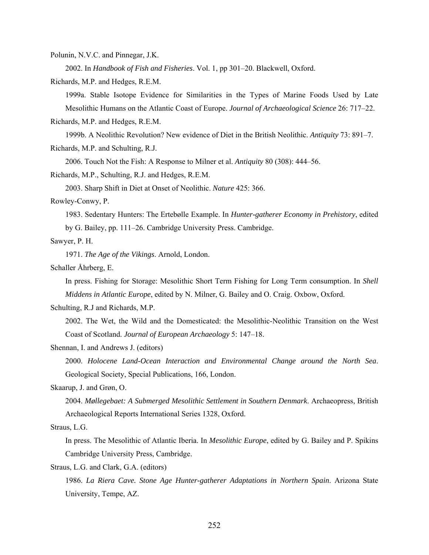Polunin, N.V.C. and Pinnegar, J.K.

2002. In *Handbook of Fish and Fisheries*. Vol. 1, pp 301–20. Blackwell, Oxford.

Richards, M.P. and Hedges, R.E.M.

1999a. Stable Isotope Evidence for Similarities in the Types of Marine Foods Used by Late Mesolithic Humans on the Atlantic Coast of Europe. *Journal of Archaeological Science* 26: 717–22.

Richards, M.P. and Hedges, R.E.M.

1999b. A Neolithic Revolution? New evidence of Diet in the British Neolithic. *Antiquity* 73: 891–7. Richards, M.P. and Schulting, R.J.

2006. Touch Not the Fish: A Response to Milner et al. *Antiquity* 80 (308): 444–56.

Richards, M.P., Schulting, R.J. and Hedges, R.E.M.

2003. Sharp Shift in Diet at Onset of Neolithic. *Nature* 425: 366.

Rowley-Conwy, P.

1983. Sedentary Hunters: The Ertebølle Example. In *Hunter-gatherer Economy in Prehistory*, edited by G. Bailey, pp. 111–26. Cambridge University Press. Cambridge.

Sawyer, P. H.

1971. *The Age of the Vikings*. Arnold, London.

Schaller Åhrberg, E.

In press. Fishing for Storage: Mesolithic Short Term Fishing for Long Term consumption. In *Shell Middens in Atlantic Europe*, edited by N. Milner, G. Bailey and O. Craig. Oxbow, Oxford.

Schulting, R.J and Richards, M.P.

2002. The Wet, the Wild and the Domesticated: the Mesolithic-Neolithic Transition on the West Coast of Scotland. *Journal of European Archaeology* 5: 147–18.

Shennan, I. and Andrews J. (editors)

2000. *Holocene Land-Ocean Interaction and Environmental Change around the North Sea*. Geological Society, Special Publications, 166, London.

Skaarup, J. and Grøn, O.

2004. *Møllegebaet: A Submerged Mesolithic Settlement in Southern Denmark*. Archaeopress, British Archaeological Reports International Series 1328, Oxford.

Straus, L.G.

In press. The Mesolithic of Atlantic Iberia. In *Mesolithic Europe*, edited by G. Bailey and P. Spikins Cambridge University Press, Cambridge.

Straus, L.G. and Clark, G.A. (editors)

1986. *La Riera Cave. Stone Age Hunter-gatherer Adaptations in Northern Spain*. Arizona State University, Tempe, AZ.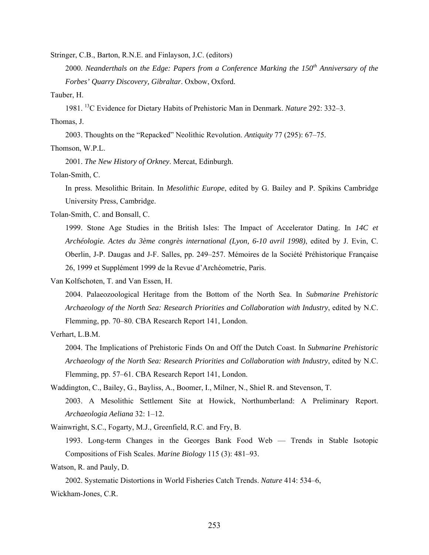Stringer, C.B., Barton, R.N.E. and Finlayson, J.C. (editors)

2000. *Neanderthals on the Edge: Papers from a Conference Marking the 150th Anniversary of the Forbes' Quarry Discovery, Gibraltar*. Oxbow, Oxford.

Tauber, H.

1981. 13C Evidence for Dietary Habits of Prehistoric Man in Denmark. *Nature* 292: 332–3.

Thomas, J.

2003. Thoughts on the "Repacked" Neolithic Revolution. *Antiquity* 77 (295): 67–75.

Thomson, W.P.L.

2001. *The New History of Orkney*. Mercat, Edinburgh.

Tolan-Smith, C.

In press. Mesolithic Britain. In *Mesolithic Europe*, edited by G. Bailey and P. Spikins Cambridge University Press, Cambridge.

Tolan-Smith, C. and Bonsall, C.

1999. Stone Age Studies in the British Isles: The Impact of Accelerator Dating. In *14C et Archéologie. Actes du 3ème congrès international (Lyon, 6-10 avril 1998)*, edited by J. Evin, C. Oberlin, J-P. Daugas and J-F. Salles, pp. 249–257. Mémoires de la Société Préhistorique Française 26, 1999 et Supplément 1999 de la Revue d'Archéometrie, Paris.

Van Kolfschoten, T. and Van Essen, H.

2004. Palaeozoological Heritage from the Bottom of the North Sea. In *Submarine Prehistoric Archaeology of the North Sea: Research Priorities and Collaboration with Industry*, edited by N.C. Flemming, pp. 70–80. CBA Research Report 141, London.

Verhart, L.B.M.

2004. The Implications of Prehistoric Finds On and Off the Dutch Coast. In *Submarine Prehistoric Archaeology of the North Sea: Research Priorities and Collaboration with Industry*, edited by N.C. Flemming, pp. 57–61. CBA Research Report 141, London.

Waddington, C., Bailey, G., Bayliss, A., Boomer, I., Milner, N., Shiel R. and Stevenson, T.

2003. A Mesolithic Settlement Site at Howick, Northumberland: A Preliminary Report. *Archaeologia Aeliana* 32: 1–12.

Wainwright, S.C., Fogarty, M.J., Greenfield, R.C. and Fry, B.

1993. Long-term Changes in the Georges Bank Food Web — Trends in Stable Isotopic Compositions of Fish Scales. *Marine Biology* 115 (3): 481–93.

Watson, R. and Pauly, D.

2002. Systematic Distortions in World Fisheries Catch Trends. *Nature* 414: 534–6, Wickham-Jones, C.R.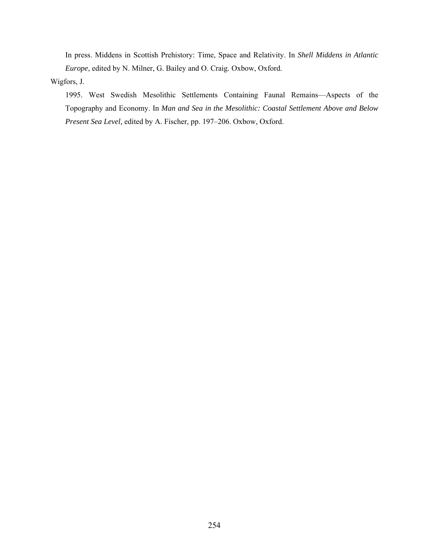In press. Middens in Scottish Prehistory: Time, Space and Relativity. In *Shell Middens in Atlantic Europe*, edited by N. Milner, G. Bailey and O. Craig. Oxbow, Oxford.

Wigfors, J.

1995. West Swedish Mesolithic Settlements Containing Faunal Remains—Aspects of the Topography and Economy. In *Man and Sea in the Mesolithic: Coastal Settlement Above and Below Present Sea Level,* edited by A. Fischer, pp. 197–206. Oxbow, Oxford.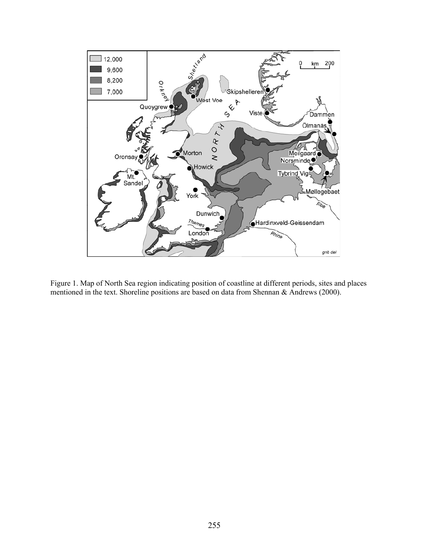

Figure 1. Map of North Sea region indicating position of coastline at different periods, sites and places mentioned in the text. Shoreline positions are based on data from Shennan & Andrews (2000).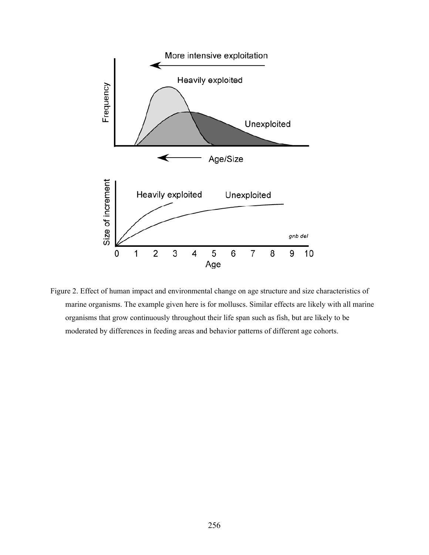

Figure 2. Effect of human impact and environmental change on age structure and size characteristics of marine organisms. The example given here is for molluscs. Similar effects are likely with all marine organisms that grow continuously throughout their life span such as fish, but are likely to be moderated by differences in feeding areas and behavior patterns of different age cohorts.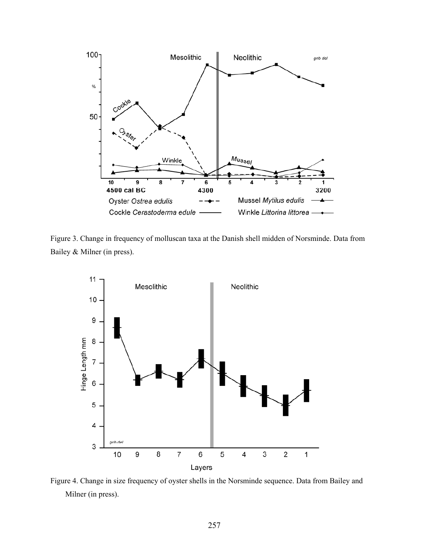

Figure 3. Change in frequency of molluscan taxa at the Danish shell midden of Norsminde. Data from Bailey & Milner (in press).



Figure 4. Change in size frequency of oyster shells in the Norsminde sequence. Data from Bailey and Milner (in press).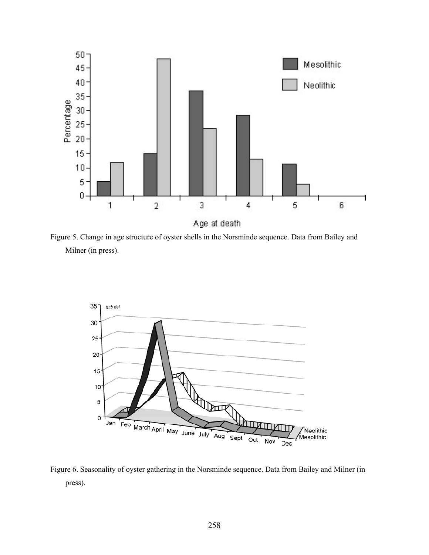

Figure 5. Change in age structure of oyster shells in the Norsminde sequence. Data from Bailey and Milner (in press).



Figure 6. Seasonality of oyster gathering in the Norsminde sequence. Data from Bailey and Milner (in press).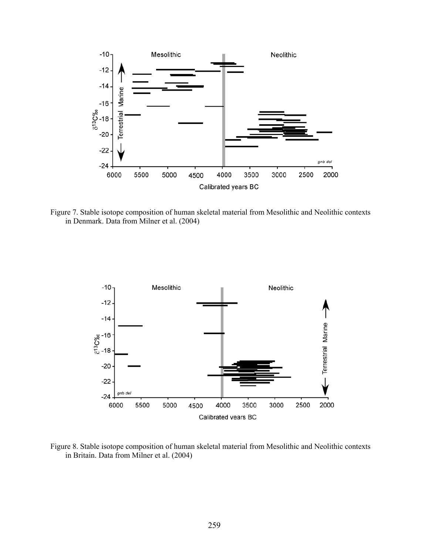

Figure 7. Stable isotope composition of human skeletal material from Mesolithic and Neolithic contexts in Denmark. Data from Milner et al. (2004)



Figure 8. Stable isotope composition of human skeletal material from Mesolithic and Neolithic contexts in Britain. Data from Milner et al. (2004)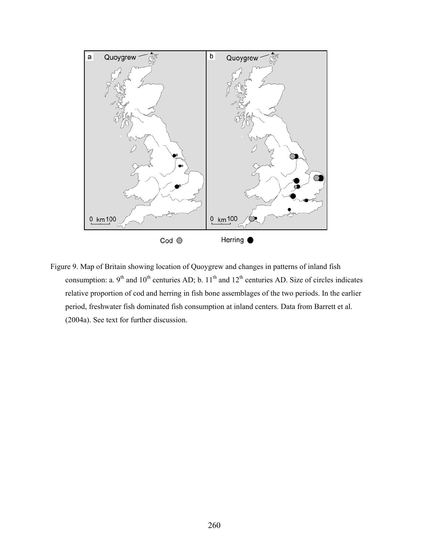

Figure 9. Map of Britain showing location of Quoygrew and changes in patterns of inland fish consumption: a.  $9<sup>th</sup>$  and  $10<sup>th</sup>$  centuries AD; b.  $11<sup>th</sup>$  and  $12<sup>th</sup>$  centuries AD. Size of circles indicates relative proportion of cod and herring in fish bone assemblages of the two periods. In the earlier period, freshwater fish dominated fish consumption at inland centers. Data from Barrett et al. (2004a). See text for further discussion.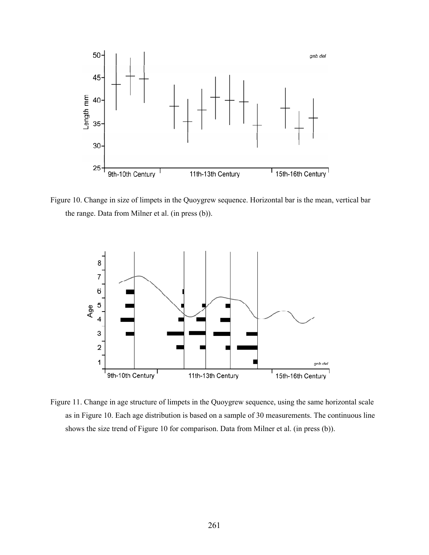

Figure 10. Change in size of limpets in the Quoygrew sequence. Horizontal bar is the mean, vertical bar the range. Data from Milner et al. (in press (b)).



Figure 11. Change in age structure of limpets in the Quoygrew sequence, using the same horizontal scale as in Figure 10. Each age distribution is based on a sample of 30 measurements. The continuous line shows the size trend of Figure 10 for comparison. Data from Milner et al. (in press (b)).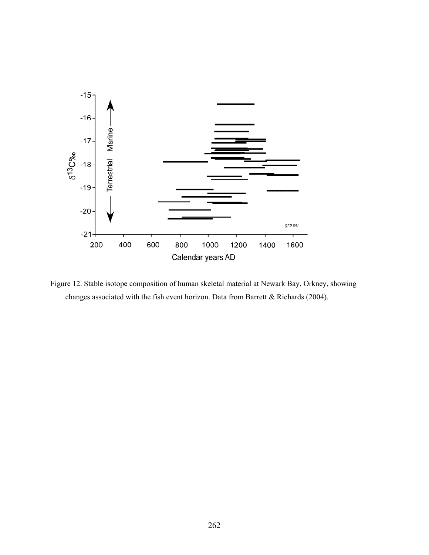

Figure 12. Stable isotope composition of human skeletal material at Newark Bay, Orkney, showing changes associated with the fish event horizon. Data from Barrett & Richards (2004).